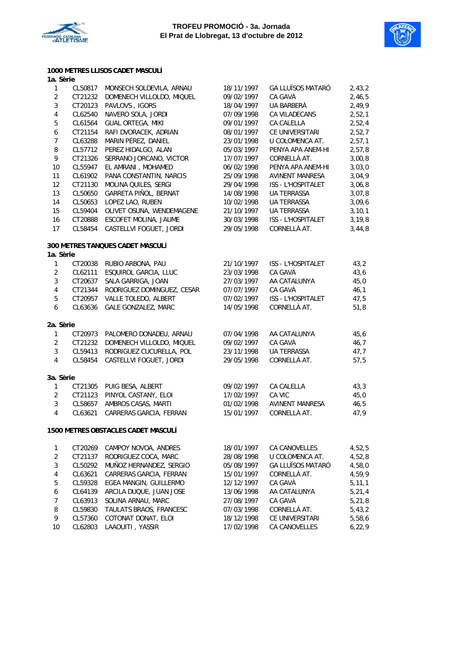



#### **1000 METRES LLISOS CADET MASCULÍ**

| 1a. Sèrie        |         |                                     |            |                           |          |
|------------------|---------|-------------------------------------|------------|---------------------------|----------|
| $\mathbf{1}$     | CL50817 | MONSECH SOLDEVILA, ARNAU            | 18/11/1997 | <b>GA LLUÏSOS MATARÓ</b>  | 2,43,2   |
| $\overline{2}$   | CT21232 | DOMENECH VILLOLDO, MIQUEL           | 09/02/1997 | CA GAVÀ                   | 2,46,5   |
| $\mathbf{3}$     | CT20123 | PAVLOVS, IGORS                      | 18/04/1997 | UA BARBERÀ                | 2,49,9   |
| $\pmb{4}$        | CL62540 | NAVERO SOLA, JORDI                  | 07/09/1998 | CA VILADECANS             | 2,52,1   |
| $\sqrt{5}$       | CL61564 | GUAL ORTEGA, MIKI                   | 09/01/1997 | CA CALELLA                | 2,52,4   |
| $\boldsymbol{6}$ | CT21154 | RAFI DVORACEK, ADRIAN               | 08/01/1997 | CE UNIVERSITARI           | 2,52,7   |
| $\overline{7}$   | CL63288 | MARIN PÉREZ, DANIEL                 | 23/01/1998 | U COLOMENCA AT.           | 2, 57, 1 |
| 8                | CL57712 | PEREZ HIDALGO, ALAN                 | 05/03/1997 | PENYA APA ANEM-HI         | 2,57,8   |
| 9                | CT21326 | SERRANO JORCANO, VICTOR             | 17/07/1997 | CORNELLÀ AT.              | 3,00,8   |
| 10               | CL55947 | EL AMRANI, MOHAMED                  | 06/02/1998 | PENYA APA ANEM-HI         | 3,03,0   |
| 11               | CL61902 | PANA CONSTANTIN, NARCIS             | 25/09/1998 | <b>AVINENT MANRESA</b>    | 3,04,9   |
| 12               | CT21130 | MOLINA QUILES, SERGI                | 29/04/1998 | ISS - L'HOSPITALET        | 3,06,8   |
| 13               | CL50650 | GARRETA PIÑOL, BERNAT               | 14/08/1998 | <b>UA TERRASSA</b>        | 3,07,8   |
| 14               | CL50653 | LOPEZ LAO, RUBEN                    | 10/02/1998 | <b>UA TERRASSA</b>        | 3,09,6   |
| 15               | CL59404 | OLIVET OSUNA, WENDEMAGENE           | 21/10/1997 | <b>UA TERRASSA</b>        | 3, 10, 1 |
| 16               | CT20888 | ESCOFET MOLINA, JAUME               | 30/03/1998 | ISS - L'HOSPITALET        | 3, 19, 8 |
| 17               | CL58454 | CASTELLVI FOGUET, JORDI             | 29/05/1998 | CORNELLÀ AT.              | 3,44,8   |
|                  |         | 300 METRES TANQUES CADET MASCULÍ    |            |                           |          |
| 1a. Sèrie        |         |                                     |            |                           |          |
| $\mathbf{1}$     | CT20038 | RUBIO ARBONA, PAU                   | 21/10/1997 | ISS - L'HOSPITALET        | 43,2     |
| $\overline{2}$   | CL62111 | ESQUIROL GARCIA, LLUC               | 23/03/1998 | CA GAVÀ                   | 43,6     |
| $\sqrt{3}$       | CT20637 | SALA GARRIGA, JOAN                  | 27/03/1997 | AA CATALUNYA              | 45,0     |
| $\overline{4}$   | CT21344 | RODRIGUEZ DOMINGUEZ, CESAR          | 07/07/1997 | CA GAVÀ                   | 46,1     |
| 5                | CT20957 | VALLE TOLEDO, ALBERT                | 07/02/1997 | <b>ISS - L'HOSPITALET</b> | 47,5     |
| $\boldsymbol{6}$ | CL63636 | GALE GONZALEZ, MARC                 | 14/05/1998 | CORNELLÀ AT.              | 51,8     |
| 2a. Sèrie        |         |                                     |            |                           |          |
| $\mathbf{1}$     | CT20973 | PALOMERO DONADEU, ARNAU             | 07/04/1998 | AA CATALUNYA              | 45, 6    |
| $\overline{2}$   | CT21232 | DOMENECH VILLOLDO, MIQUEL           | 09/02/1997 | CA GAVÀ                   | 46,7     |
| $\sqrt{3}$       | CL59413 | RODRIGUEZ CUCURELLA, POL            | 23/11/1998 | UA TERRASSA               | 47,7     |
| $\overline{4}$   | CL58454 | CASTELLVI FOGUET, JORDI             | 29/05/1998 | CORNELLÀ AT.              | 57,5     |
| 3a. Sèrie        |         |                                     |            |                           |          |
| 1                | CT21305 | PUIG BESA, ALBERT                   | 09/02/1997 | CA CALELLA                | 43,3     |
| $\overline{2}$   | CT21123 | PINYOL CASTANY, ELOI                | 17/02/1997 | CA VIC                    | 45,0     |
| $\sqrt{3}$       | CL58657 | AMBROS CASAS, MARTI                 | 01/02/1998 | <b>AVINENT MANRESA</b>    | 46,5     |
| $\overline{4}$   | CL63621 | CARRERAS GARCIA, FERRAN             | 15/01/1997 | CORNELLÀ AT.              | 47,9     |
|                  |         | 1500 METRES OBSTACLES CADET MASCULI |            |                           |          |
| $\mathbf{1}$     | CT20269 | CAMPOY NOVOA, ANDRES                | 18/01/1997 | CA CANOVELLES             | 4,52,5   |
| $\overline{2}$   | CT21137 | RODRIGUEZ COCA, MARC                | 28/08/1998 | U COLOMENCA AT.           | 4,52,8   |
| 3                | CL50292 | MUÑOZ HERNANDEZ, SERGIO             | 05/08/1997 | <b>GA LLUÏSOS MATARÓ</b>  | 4,58,0   |
| $\overline{4}$   | CL63621 | CARRERAS GARCIA, FERRAN             | 15/01/1997 | CORNELLA AT.              | 4,59,9   |
| 5                | CL59328 | EGEA MANGIN, GUILLERMO              | 12/12/1997 | CA GAVÀ                   | 5, 11, 1 |
| $\boldsymbol{6}$ | CL64139 | ARCILA DUQUE, JUAN JOSE             | 13/06/1998 | AA CATALUNYA              | 5,21,4   |
| $\overline{7}$   | CL63913 | SOLINA ARNAU, MARC                  | 27/08/1997 | CA GAVÀ                   | 5,21,8   |
| 8                | CL59830 | TAULATS BRAOS, FRANCESC             | 07/03/1998 | CORNELLÀ AT.              | 5,43,2   |
| 9                | CL57360 | COTONAT DONAT, ELOI                 | 18/12/1998 | CE UNIVERSITARI           | 5,58,6   |
| 10               | CL62803 | LAAOUITI, YASSIR                    | 17/02/1998 | CA CANOVELLES             | 6, 22, 9 |
|                  |         |                                     |            |                           |          |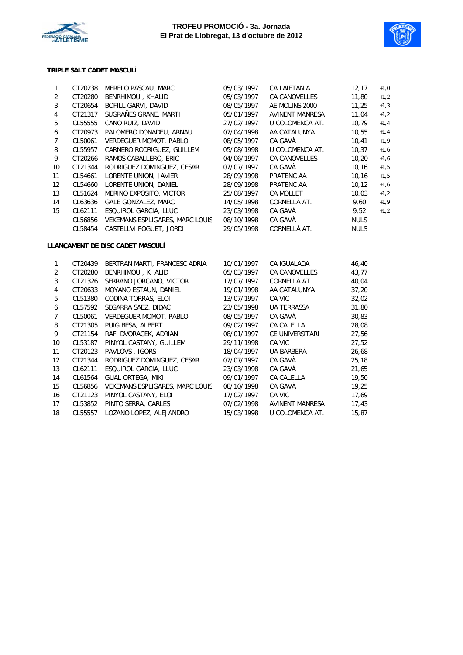



#### **TRIPLE SALT CADET MASCULÍ**

| 1                | CT20238 | MERELO PASCAU, MARC              | 05/03/1997 | <b>CA LAIETANIA</b>    | 12, 17      | $+1,0$  |
|------------------|---------|----------------------------------|------------|------------------------|-------------|---------|
| $\overline{2}$   | CT20280 | BENRHIMOU, KHALID                | 05/03/1997 | CA CANOVELLES          | 11,80       | $+1,2$  |
| 3                | CT20654 | BOFILL GARVI, DAVID              | 08/05/1997 | AE MOLINS 2000         | 11,25       | $+1, 3$ |
| $\pmb{4}$        | CT21317 | SUGRAÑES GRANE, MARTI            | 05/01/1997 | AVINENT MANRESA        | 11,04       | $+1,2$  |
| 5                | CL55555 | CANO RUIZ, DAVID                 | 27/02/1997 | U COLOMENCA AT.        | 10,79       | $+1,4$  |
| 6                | CT20973 | PALOMERO DONADEU, ARNAU          | 07/04/1998 | AA CATALUNYA           | 10,55       | $+1,4$  |
| $\overline{7}$   | CL50061 | VERDEGUER MOMOT, PABLO           | 08/05/1997 | CA GAVÀ                | 10,41       | $+1, 9$ |
| 8                | CL55957 | CARNERO RODRIGUEZ, GUILLEM       | 05/08/1998 | U COLOMENCA AT.        | 10, 37      | $+1,6$  |
| 9                | CT20266 | RAMOS CABALLERO, ERIC            | 04/06/1997 | CA CANOVELLES          | 10,20       | $+1,6$  |
| 10               | CT21344 | RODRIGUEZ DOMINGUEZ, CESAR       | 07/07/1997 | CA GAVÀ                | 10, 16      | $+1,5$  |
| 11               | CL54661 | LORENTE UNION, JAVIER            | 28/09/1998 | PRATENC AA             | 10, 16      | $+1,5$  |
| 12               | CL54660 | LORENTE UNION, DANIEL            | 28/09/1998 | PRATENC AA             | 10, 12      | $+1,6$  |
| 13               | CL51624 | MERINO EXPOSITO, VICTOR          | 25/08/1997 | <b>CA MOLLET</b>       | 10,03       | $+1,2$  |
| 14               | CL63636 | GALE GONZALEZ, MARC              | 14/05/1998 | CORNELLÀ AT.           | 9,60        | $+1,9$  |
| 15               | CL62111 | ESQUIROL GARCIA, LLUC            | 23/03/1998 | CA GAVÀ                | 9,52        | $+1,2$  |
|                  | CL56856 | VEKEMANS ESPLIGARES, MARC LOUIS  | 08/10/1998 | CA GAVÀ                | <b>NULS</b> |         |
|                  | CL58454 | CASTELLVI FOGUET, JORDI          | 29/05/1998 | CORNELLÀ AT.           | <b>NULS</b> |         |
|                  |         | LLANÇAMENT DE DISC CADET MASCULÍ |            |                        |             |         |
| 1                | CT20439 | BERTRAN MARTI, FRANCESC ADRIA    | 10/01/1997 | CA IGUALADA            | 46,40       |         |
| $\overline{2}$   | CT20280 | BENRHIMOU, KHALID                | 05/03/1997 | <b>CA CANOVELLES</b>   | 43,77       |         |
| $\mathbf{3}$     | CT21326 | SERRANO JORCANO, VICTOR          | 17/07/1997 | CORNELLÀ AT.           | 40,04       |         |
| $\pmb{4}$        | CT20633 | MOYANO ESTAUN, DANIEL            | 19/01/1998 | AA CATALUNYA           | 37,20       |         |
| 5                | CL51380 | CODINA TORRAS, ELOI              | 13/07/1997 | CA VIC                 | 32,02       |         |
| $\boldsymbol{6}$ | CL57592 | SEGARRA SAEZ, DIDAC              | 23/05/1998 | <b>UA TERRASSA</b>     | 31,80       |         |
| $\overline{7}$   | CL50061 | VERDEGUER MOMOT, PABLO           | 08/05/1997 | CA GAVÀ                | 30,83       |         |
| 8                | CT21305 | PUIG BESA, ALBERT                | 09/02/1997 | CA CALELLA             | 28,08       |         |
| 9                | CT21154 | RAFI DVORACEK, ADRIAN            | 08/01/1997 | CE UNIVERSITARI        | 27,56       |         |
| 10               | CL53187 | PINYOL CASTANY, GUILLEM          | 29/11/1998 | CA VIC                 | 27,52       |         |
| 11               | CT20123 | PAVLOVS, IGORS                   | 18/04/1997 | UA BARBERÀ             | 26,68       |         |
| 12               | CT21344 | RODRIGUEZ DOMINGUEZ, CESAR       | 07/07/1997 | CA GAVÀ                | 25, 18      |         |
| 13               | CL62111 | ESQUIROL GARCIA, LLUC            | 23/03/1998 | CA GAVÀ                | 21,65       |         |
| 14               | CL61564 | GUAL ORTEGA, MIKI                | 09/01/1997 | CA CALELLA             | 19,50       |         |
| 15               | CL56856 | VEKEMANS ESPLIGARES, MARC LOUIS  | 08/10/1998 | CA GAVÀ                | 19,25       |         |
| 16               | CT21123 | PINYOL CASTANY, ELOI             | 17/02/1997 | CA VIC                 | 17,69       |         |
|                  |         |                                  |            |                        |             |         |
| 17               | CL53852 | PINTO SERRA, CARLES              | 07/02/1998 | <b>AVINENT MANRESA</b> | 17,43       |         |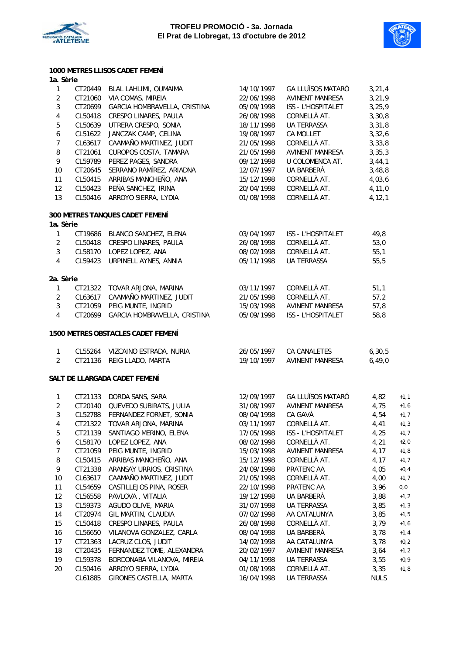



#### **1000 METRES LLISOS CADET FEMENÍ 1a. Sèrie**

| 1              | CT20449 | BLAL LAHLIMI, OUMAIMA              | 14/10/1997 | <b>GA LLUÏSOS MATARÓ</b>  | 3, 21, 4    |        |
|----------------|---------|------------------------------------|------------|---------------------------|-------------|--------|
| $\overline{2}$ | CT21060 | VIA COMAS, MIREIA                  | 22/06/1998 | <b>AVINENT MANRESA</b>    | 3,21,9      |        |
| $\mathbf{3}$   | CT20699 | GARCIA HOMBRAVELLA, CRISTINA       | 05/09/1998 | ISS - L'HOSPITALET        | 3, 25, 9    |        |
| $\overline{4}$ | CL50418 | CRESPO LINARES, PAULA              | 26/08/1998 | CORNELLÀ AT.              | 3,30,8      |        |
| 5              | CL50639 | UTRERA CRESPO, SONIA               | 18/11/1998 | UA TERRASSA               | 3,31,8      |        |
| 6              | CL51622 | JANCZAK CAMP, CELINA               | 19/08/1997 | <b>CA MOLLET</b>          | 3,32,6      |        |
| $\overline{7}$ | CL63617 | CAAMAÑO MARTINEZ, JUDIT            | 21/05/1998 | CORNELLÀ AT.              | 3, 33, 8    |        |
| 8              | CT21061 | CUROPOS COSTA, TAMARA              | 21/05/1998 | <b>AVINENT MANRESA</b>    | 3, 35, 3    |        |
| 9              | CL59789 | PEREZ PAGES, SANDRA                | 09/12/1998 | U COLOMENCA AT.           | 3,44,1      |        |
| 10             | CT20645 | SERRANO RAMÍREZ, ARIADNA           | 12/07/1997 | UA BARBERÀ                | 3,48,8      |        |
| 11             | CL50415 | ARRIBAS MANCHEÑO, ANA              | 15/12/1998 | CORNELLÀ AT.              | 4,03,6      |        |
| 12             | CL50423 | PEÑA SANCHEZ, IRINA                | 20/04/1998 | CORNELLÀ AT.              | 4, 11, 0    |        |
| 13             | CL50416 | ARROYO SIERRA, LYDIA               | 01/08/1998 | CORNELLÀ AT.              | 4, 12, 1    |        |
|                |         | 300 METRES TANQUES CADET FEMENÍ    |            |                           |             |        |
| 1a. Sèrie      |         |                                    |            |                           |             |        |
| $\mathbf{1}$   | CT19686 | BLANCO SANCHEZ, ELENA              | 03/04/1997 | <b>ISS - L'HOSPITALET</b> | 49,8        |        |
| $\overline{2}$ | CL50418 | CRESPO LINARES, PAULA              | 26/08/1998 | CORNELLÀ AT.              | 53,0        |        |
| $\mathfrak{Z}$ | CL58170 | LOPEZ LOPEZ, ANA                   | 08/02/1998 | CORNELLÀ AT.              | 55,1        |        |
| $\overline{4}$ | CL59423 | URPINELL AYNES, ANNIA              | 05/11/1998 | UA TERRASSA               | 55,5        |        |
| 2a. Sèrie      |         |                                    |            |                           |             |        |
| 1              | CT21322 | TOVAR ARJONA, MARINA               | 03/11/1997 | CORNELLÀ AT.              | 51,1        |        |
| $\overline{2}$ | CL63617 | CAAMAÑO MARTINEZ, JUDIT            | 21/05/1998 | CORNELLÀ AT.              | 57,2        |        |
| $\mathbf{3}$   | CT21059 | PEIG MUNTE, INGRID                 | 15/03/1998 | AVINENT MANRESA           | 57,8        |        |
| $\overline{4}$ | CT20699 | GARCIA HOMBRAVELLA, CRISTINA       | 05/09/1998 | ISS - L'HOSPITALET        | 58,8        |        |
|                |         | 1500 METRES OBSTACLES CADET FEMENÍ |            |                           |             |        |
| $\mathbf{1}$   | CL55264 | VIZCAINO ESTRADA, NURIA            | 26/05/1997 | CA CANALETES              | 6, 30, 5    |        |
| $\overline{2}$ | CT21136 | REIG LLADO, MARTA                  | 19/10/1997 | <b>AVINENT MANRESA</b>    | 6, 49, 0    |        |
|                |         | SALT DE LLARGADA CADET FEMENÍ      |            |                           |             |        |
| $\mathbf{1}$   | CT21133 | DORDA SANS, SARA                   | 12/09/1997 | <b>GA LLUÏSOS MATARÓ</b>  | 4,82        | $+1,1$ |
| $\overline{2}$ | CT20140 | QUEVEDO SUBIRATS, JULIA            | 31/08/1997 | <b>AVINENT MANRESA</b>    | 4,75        | $+1,6$ |
| $\mathbf{3}$   | CL52788 | FERNANDEZ FORNET, SONIA            | 08/04/1998 | CA GAVÀ                   | 4,54        | $+1,7$ |
| $\overline{4}$ | CT21322 | TOVAR ARJONA, MARINA               | 03/11/1997 | CORNELLÀ AT.              | 4,41        | $+1,3$ |
| 5              | CT21139 | SANTIAGO MERINO, ELENA             | 17/05/1998 | ISS - L'HOSPITALET        | 4,25        | $+1,7$ |
| 6              | CL58170 | LOPEZ LOPEZ, ANA                   | 08/02/1998 | CORNELLÀ AT.              | 4,21        | $+2,0$ |
| 7              | CT21059 | PEIG MUNTE, INGRID                 | 15/03/1998 | <b>AVINENT MANRESA</b>    | 4,17        | $+1,8$ |
| 8              | CL50415 | ARRIBAS MANCHEÑO, ANA              | 15/12/1998 | CORNELLÀ AT.              | 4,17        | $+1,7$ |
| 9              | CT21338 | ARANSAY URRIOS, CRISTINA           | 24/09/1998 | PRATENC AA                | 4,05        | $+0,4$ |
| 10             | CL63617 | CAAMAÑO MARTINEZ, JUDIT            | 21/05/1998 | CORNELLÀ AT.              | 4,00        | $+1,7$ |
| 11             | CL54659 | CASTILLEJOS PINA, ROSER            | 22/10/1998 | PRATENC AA                | 3,96        | 0,0    |
| 12             | CL56558 | PAVLOVA, VITALIA                   | 19/12/1998 | UA BARBERÀ                | 3,88        | $+1,2$ |
| 13             | CL59373 | AGUDO OLIVE, MARIA                 | 31/07/1998 | UA TERRASSA               | 3,85        | $+1,3$ |
| 14             | CT20974 | GIL MARTIN, CLAUDIA                | 07/02/1998 | AA CATALUNYA              | 3,85        | $+1,5$ |
| 15             | CL50418 | CRESPO LINARES, PAULA              | 26/08/1998 | CORNELLÀ AT.              | 3,79        | $+1,6$ |
| 16             | CL56650 | VILANOVA GONZALEZ, CARLA           | 08/04/1998 | UA BARBERÀ                | 3,78        | $+1,4$ |
| 17             | CT21363 | LACRUZ CLOS, JUDIT                 | 14/02/1998 | AA CATALUNYA              | 3,78        | $+0,2$ |
| 18             | CT20435 | FERNANDEZ TOME, ALEXANDRA          | 20/02/1997 | <b>AVINENT MANRESA</b>    | 3,64        | $+1,2$ |
| 19             | CL59378 | BORDONABA VILANOVA, MIREIA         | 04/11/1998 | UA TERRASSA               | 3,55        | $+0,9$ |
| 20             | CL50416 | ARROYO SIERRA, LYDIA               | 01/08/1998 | CORNELLÀ AT.              | 3,35        | $+1,8$ |
|                | CL61885 | GIRONES CASTELLA, MARTA            | 16/04/1998 | UA TERRASSA               | <b>NULS</b> |        |
|                |         |                                    |            |                           |             |        |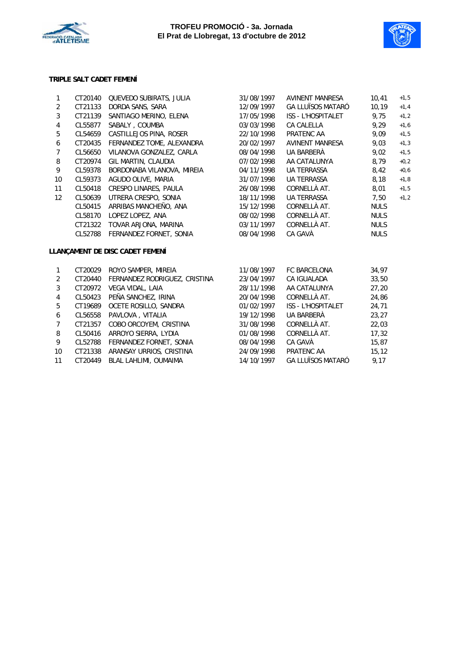



#### **TRIPLE SALT CADET FEMENÍ**

| 1              | CT20140 | QUEVEDO SUBIRATS, JULIA         | 31/08/1997 | <b>AVINENT MANRESA</b>    | 10,41       | $+1,5$ |
|----------------|---------|---------------------------------|------------|---------------------------|-------------|--------|
| 2              | CT21133 | DORDA SANS, SARA                | 12/09/1997 | <b>GA LLUÏSOS MATARÓ</b>  | 10,19       | $+1,4$ |
| $\mathbf{3}$   | CT21139 | SANTIAGO MERINO, ELENA          | 17/05/1998 | <b>ISS - L'HOSPITALET</b> | 9,75        | $+1,2$ |
| 4              | CL55877 | SABALY, COUMBA                  | 03/03/1998 | CA CALELLA                | 9,29        | $+1,6$ |
| 5              | CL54659 | CASTILLEJOS PINA, ROSER         | 22/10/1998 | PRATENC AA                | 9.09        | $+1,5$ |
| 6              | CT20435 | FERNANDEZ TOME, ALEXANDRA       | 20/02/1997 | <b>AVINENT MANRESA</b>    | 9.03        | $+1,3$ |
| $\overline{7}$ | CL56650 | VILANOVA GONZALEZ, CARLA        | 08/04/1998 | UA BARBERÀ                | 9.02        | $+1,5$ |
| 8              | CT20974 | GIL MARTIN, CLAUDIA             | 07/02/1998 | AA CATALUNYA              | 8.79        | $+0,2$ |
| 9              | CL59378 | BORDONABA VILANOVA, MIREIA      | 04/11/1998 | <b>UA TERRASSA</b>        | 8,42        | $+0,6$ |
| 10             | CL59373 | AGUDO OLIVE, MARIA              | 31/07/1998 | <b>UA TERRASSA</b>        | 8,18        | $+1,8$ |
| 11             | CL50418 | CRESPO LINARES, PAULA           | 26/08/1998 | CORNELLÀ AT.              | 8,01        | $+1,5$ |
| 12             | CL50639 | UTRERA CRESPO, SONIA            | 18/11/1998 | <b>UA TERRASSA</b>        | 7,50        | $+1,2$ |
|                | CL50415 | ARRIBAS MANCHEÑO, ANA           | 15/12/1998 | CORNELLÀ AT.              | <b>NULS</b> |        |
|                | CL58170 | LOPEZ LOPEZ, ANA                | 08/02/1998 | CORNELLÀ AT.              | <b>NULS</b> |        |
|                | CT21322 | TOVAR ARJONA, MARINA            | 03/11/1997 | CORNELLÀ AT.              | <b>NULS</b> |        |
|                | CL52788 | FERNANDEZ FORNET, SONIA         | 08/04/1998 | CA GAVÀ                   | <b>NULS</b> |        |
|                |         | LLANÇAMENT DE DISC CADET FEMENÍ |            |                           |             |        |
| $\mathbf{1}$   | CT20029 | ROYO SAMPER, MIREIA             | 11/08/1997 | <b>FC BARCELONA</b>       | 34,97       |        |
| $\overline{2}$ | CT20440 | FERNANDEZ RODRIGUEZ, CRISTINA   | 23/04/1997 | <b>CA IGUALADA</b>        | 33,50       |        |
| 3              | CT20972 | VEGA VIDAL, LAIA                | 28/11/1998 | AA CATALUNYA              | 27,20       |        |
| 4              | CL50423 | PEÑA SANCHEZ, IRINA             | 20/04/1998 | CORNELLÀ AT.              | 24,86       |        |
| 5              | CT19689 | OCETE ROSILLO, SANDRA           | 01/02/1997 | <b>ISS - L'HOSPITALET</b> | 24,71       |        |
| 6              | CL56558 | PAVLOVA, VITALIA                | 19/12/1998 | UA BARBERÀ                | 23,27       |        |
| 7              | CT21357 | COBO ORCOYEM, CRISTINA          | 31/08/1998 | CORNELLÀ AT.              | 22,03       |        |
| 8              | CL50416 | ARROYO SIERRA, LYDIA            | 01/08/1998 | CORNELLÀ AT.              | 17,32       |        |
| 9              | CL52788 | FERNANDEZ FORNET, SONIA         | 08/04/1998 | CA GAVÀ                   | 15,87       |        |
| 10             | CT21338 | ARANSAY URRIOS, CRISTINA        | 24/09/1998 | PRATENC AA                | 15.12       |        |

11 CT20449 BLAL LAHLIMI, OUMAIMA 14/10/1997 GA LLUÏSOS MATARÓ 9,17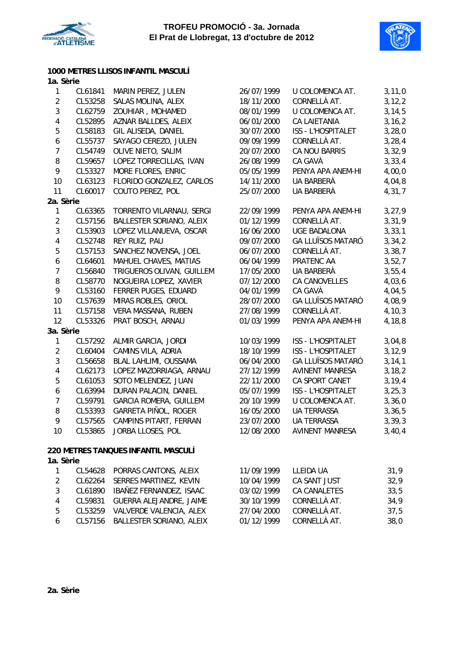



| 1000 METRES LLISOS INFANTIL MASCULÍ |  |
|-------------------------------------|--|
| 1a Sària                            |  |

| та, зепе                |         |                                     |            |                           |          |
|-------------------------|---------|-------------------------------------|------------|---------------------------|----------|
| $\mathbf{1}$            | CL61841 | MARIN PEREZ, JULEN                  | 26/07/1999 | U COLOMENCA AT.           | 3, 11, 0 |
| $\overline{2}$          | CL53258 | SALAS MOLINA, ALEX                  | 18/11/2000 | CORNELLÀ AT.              | 3, 12, 2 |
| $\mathfrak{Z}$          | CL62759 | ZOUHIAR, MOHAMED                    | 08/01/1999 | U COLOMENCA AT.           | 3, 14, 5 |
| $\overline{\mathbf{4}}$ | CL52895 | AZNAR BALLDES, ALEIX                | 06/01/2000 | <b>CA LAIETANIA</b>       | 3, 16, 2 |
| 5                       | CL58183 | GIL ALISEDA, DANIEL                 | 30/07/2000 | <b>ISS - L'HOSPITALET</b> | 3, 28, 0 |
| 6                       | CL55737 | SAYAGO CEREZO, JULEN                | 09/09/1999 | CORNELLÀ AT.              | 3, 28, 4 |
| $\overline{7}$          | CL54749 | OLIVE NIETO, SALIM                  | 20/07/2000 | CA NOU BARRIS             | 3,32,9   |
| 8                       | CL59657 | LOPEZ TORRECILLAS, IVAN             | 26/08/1999 | CA GAVÀ                   | 3, 33, 4 |
| $\mathsf{9}$            | CL53327 | MORE FLORES, ENRIC                  | 05/05/1999 | PENYA APA ANEM-HI         | 4,00,0   |
| 10                      | CL63123 | FLORIDO GONZALEZ, CARLOS            | 14/11/2000 | UA BARBERÀ                | 4,04,8   |
| 11                      | CL60017 | COUTO PEREZ, POL                    | 25/07/2000 | UA BARBERÀ                | 4,31,7   |
| 2a. Sèrie               |         |                                     |            |                           |          |
| $\mathbf{1}$            | CL63365 | TORRENTO VILARNAU, SERGI            | 22/09/1999 | PENYA APA ANEM-HI         | 3, 27, 9 |
| $\overline{2}$          | CL57156 | BALLESTER SORIANO, ALEIX            | 01/12/1999 | CORNELLÀ AT.              | 3,31,9   |
| 3                       | CL53903 | LOPEZ VILLANUEVA, OSCAR             | 16/06/2000 | <b>UGE BADALONA</b>       | 3, 33, 1 |
| $\pmb{4}$               | CL52748 | REY RUIZ, PAU                       | 09/07/2000 | <b>GA LLUÏSOS MATARÓ</b>  | 3, 34, 2 |
| 5                       | CL57153 | SANCHEZ NOVENSA, JOEL               | 06/07/2000 | CORNELLÀ AT.              | 3, 38, 7 |
| 6                       | CL64601 | MAHUEL CHAVES, MATIAS               | 06/04/1999 | PRATENC AA                | 3,52,7   |
| $\boldsymbol{7}$        | CL56840 | TRIGUEROS OLIVAN, GUILLEM           | 17/05/2000 | UA BARBERÀ                | 3, 55, 4 |
| 8                       | CL58770 | NOGUEIRA LOPEZ, XAVIER              | 07/12/2000 | <b>CA CANOVELLES</b>      | 4,03,6   |
| 9                       | CL53160 | FERRER PUGES, EDUARD                | 04/01/1999 | CA GAVÀ                   | 4,04,5   |
| 10                      | CL57639 | MIRAS ROBLES, ORIOL                 | 28/07/2000 | <b>GA LLUÏSOS MATARÓ</b>  | 4,08,9   |
| 11                      | CL57158 | VERA MASSANA, RUBEN                 | 27/08/1999 | CORNELLÀ AT.              | 4, 10, 3 |
| 12                      | CL53326 | PRAT BOSCH, ARNAU                   | 01/03/1999 | PENYA APA ANEM-HI         | 4,18,8   |
| 3a. Sèrie               |         |                                     |            |                           |          |
| $\mathbf{1}$            | CL57292 | ALMIR GARCIA, JORDI                 | 10/03/1999 | <b>ISS - L'HOSPITALET</b> | 3,04,8   |
| $\overline{2}$          | CL60404 | CAMINS VILA, ADRIA                  | 18/10/1999 | ISS - L'HOSPITALET        | 3, 12, 9 |
| 3                       | CL56658 | BLAL LAHLIMI, OUSSAMA               | 06/04/2000 | <b>GA LLUÏSOS MATARÓ</b>  | 3, 14, 1 |
| $\overline{\mathbf{4}}$ | CL62173 | LOPEZ MAZORRIAGA, ARNAU             | 27/12/1999 | <b>AVINENT MANRESA</b>    | 3, 18, 2 |
| 5                       | CL61053 | SOTO MELENDEZ, JUAN                 | 22/11/2000 | CA SPORT CANET            | 3, 19, 4 |
| 6                       | CL63994 | DURAN PALACIN, DANIEL               | 05/07/1999 | <b>ISS - L'HOSPITALET</b> | 3, 25, 3 |
| $\overline{7}$          | CL59791 | <b>GARCIA ROMERA, GUILLEM</b>       | 20/10/1999 | U COLOMENCA AT.           | 3,36,0   |
| 8                       | CL53393 | GARRETA PIÑOL, ROGER                | 16/05/2000 | <b>UA TERRASSA</b>        | 3, 36, 5 |
| 9                       | CL57565 | CAMPINS PITART, FERRAN              | 23/07/2000 | <b>UA TERRASSA</b>        | 3, 39, 3 |
| 10                      | CL53865 | JORBA LLOSES, POL                   | 12/08/2000 | <b>AVINENT MANRESA</b>    | 3,40,4   |
|                         |         | 220 METRES TANQUES INFANTIL MASCULÍ |            |                           |          |
|                         |         |                                     |            |                           |          |

### 1.0010<br>1 CL54629 DODDAS CANTONS, ALEIX 11/00/1000 LLEIDA UA 31,0 **1a. Sèrie**

|  | 11/09/1999                                                                                                                                                                                                   |              | 31,9                      |
|--|--------------------------------------------------------------------------------------------------------------------------------------------------------------------------------------------------------------|--------------|---------------------------|
|  | 10/04/1999                                                                                                                                                                                                   | CA SANT JUST | 32,9                      |
|  | 03/02/1999                                                                                                                                                                                                   | CA CANALETES | 33,5                      |
|  | 30/10/1999                                                                                                                                                                                                   |              | 34.9                      |
|  | 27/04/2000                                                                                                                                                                                                   | CORNELLÀ AT. | 37.5                      |
|  | 01/12/1999                                                                                                                                                                                                   | CORNELLÀ AT. | 38,0                      |
|  | CL54628 PORRAS CANTONS, ALEIX<br>CL62264 SERRES MARTINEZ, KEVIN<br>CL61890 IBAÑEZ FERNANDEZ, ISAAC<br>CL59831 GUERRA ALEJANDRE, JAIME<br>CL53259 VALVERDE VALENCIA, ALEX<br>CL57156 BALLESTER SORIANO, ALEIX |              | LLEIDA UA<br>CORNELLÀ AT. |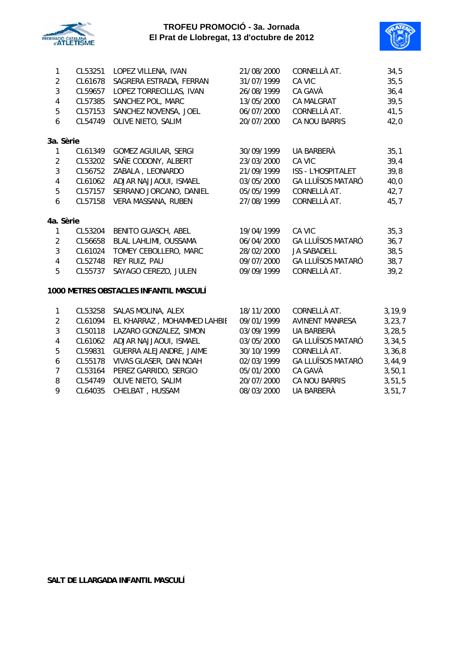



| 1                | CL53251 | LOPEZ VILLENA, IVAN                    | 21/08/2000 | CORNELLÀ AT.              | 34,5     |
|------------------|---------|----------------------------------------|------------|---------------------------|----------|
| $\overline{2}$   | CL61678 | SAGRERA ESTRADA, FERRAN                | 31/07/1999 | CA VIC                    | 35,5     |
| 3                | CL59657 | LOPEZ TORRECILLAS, IVAN                | 26/08/1999 | CA GAVÀ                   | 36,4     |
| $\pmb{4}$        | CL57385 | SANCHEZ POL, MARC                      | 13/05/2000 | <b>CA MALGRAT</b>         | 39,5     |
| 5                | CL57153 | SANCHEZ NOVENSA, JOEL                  | 06/07/2000 | CORNELLÀ AT.              | 41,5     |
| 6                | CL54749 | OLIVE NIETO, SALIM                     | 20/07/2000 | CA NOU BARRIS             | 42,0     |
| 3a. Sèrie        |         |                                        |            |                           |          |
| $\mathbf{1}$     | CL61349 | GOMEZ AGUILAR, SERGI                   | 30/09/1999 | UA BARBERÀ                | 35,1     |
| $\overline{2}$   | CL53202 | SAÑE CODONY, ALBERT                    | 23/03/2000 | CA VIC                    | 39,4     |
| 3                | CL56752 | ZABALA, LEONARDO                       | 21/09/1999 | <b>ISS - L'HOSPITALET</b> | 39,8     |
| $\pmb{4}$        | CL61062 | ADJAR NAJJAOUI, ISMAEL                 | 03/05/2000 | <b>GA LLUÏSOS MATARÓ</b>  | 40,0     |
| 5                | CL57157 | SERRANO JORCANO, DANIEL                | 05/05/1999 | CORNELLÀ AT.              | 42,7     |
| $\boldsymbol{6}$ | CL57158 | VERA MASSANA, RUBEN                    | 27/08/1999 | CORNELLÀ AT.              | 45,7     |
| 4a. Sèrie        |         |                                        |            |                           |          |
| $\mathbf{1}$     | CL53204 | <b>BENITO GUASCH, ABEL</b>             | 19/04/1999 | CA VIC                    | 35,3     |
| $\overline{2}$   | CL56658 | BLAL LAHLIMI, OUSSAMA                  | 06/04/2000 | <b>GA LLUÏSOS MATARÓ</b>  | 36,7     |
| $\mathbf{3}$     | CL61024 | TOMEY CEBOLLERO, MARC                  | 28/02/2000 | <b>JA SABADELL</b>        | 38,5     |
| $\overline{4}$   | CL52748 | REY RUIZ, PAU                          | 09/07/2000 | <b>GA LLUÏSOS MATARÓ</b>  | 38,7     |
| 5                | CL55737 | SAYAGO CEREZO, JULEN                   | 09/09/1999 | CORNELLÀ AT.              | 39,2     |
|                  |         | 1000 METRES OBSTACLES INFANTIL MASCULÍ |            |                           |          |
| $\mathbf{1}$     | CL53258 | SALAS MOLINA, ALEX                     | 18/11/2000 | CORNELLÀ AT.              | 3, 19, 9 |
| $\overline{2}$   | CL61094 | EL KHARRAZ, MOHAMMED LAHBIE            | 09/01/1999 | <b>AVINENT MANRESA</b>    | 3, 23, 7 |
| $\mathfrak{Z}$   | CL50118 | LAZARO GONZALEZ, SIMON                 | 03/09/1999 | UA BARBERÀ                | 3, 28, 5 |
| $\overline{4}$   | CL61062 | ADJAR NAJJAOUI, ISMAEL                 | 03/05/2000 | <b>GA LLUÏSOS MATARÓ</b>  | 3, 34, 5 |
| 5                | CL59831 | GUERRA ALEJANDRE, JAIME                | 30/10/1999 | CORNELLÀ AT.              | 3,36,8   |
| 6                | CL55178 | VIVAS GLASER, DAN NOAH                 | 02/03/1999 | <b>GA LLUÏSOS MATARÓ</b>  | 3,44,9   |
|                  |         |                                        |            |                           |          |

- 7 CL53164 PEREZ GARRIDO, SERGIO 05/01/2000 CA GAVÀ 3,50,1
- 8 CL54749 OLIVE NIETO, SALIM 20/07/2000 CA NOU BARRIS 3,51,5
- 9 CL64035 CHELBAT , HUSSAM 08/03/2000 UA BARBERÀ 3,51,7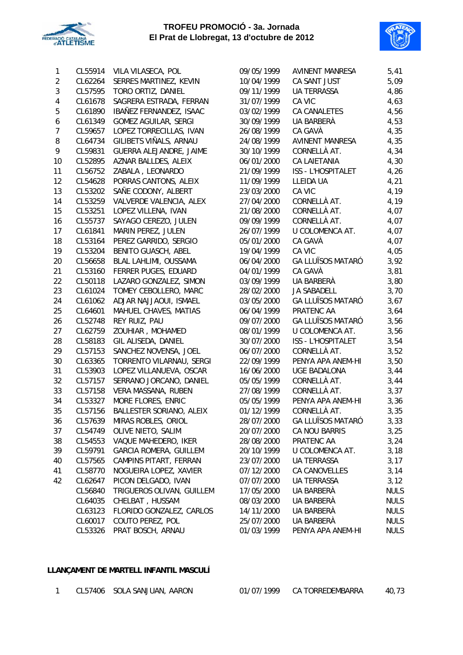



| 1              | CL55914 | VILA VILASECA, POL          | 09/05/1999 | AVINENT MANRESA           | 5,41        |
|----------------|---------|-----------------------------|------------|---------------------------|-------------|
| $\overline{2}$ | CL62264 | SERRES MARTINEZ, KEVIN      | 10/04/1999 | CA SANT JUST              | 5,09        |
| 3              | CL57595 | TORO ORTIZ, DANIEL          | 09/11/1999 | <b>UA TERRASSA</b>        | 4,86        |
| 4              | CL61678 | SAGRERA ESTRADA, FERRAN     | 31/07/1999 | CA VIC                    | 4,63        |
| 5              | CL61890 | IBAÑEZ FERNANDEZ, ISAAC     | 03/02/1999 | CA CANALETES              | 4,56        |
| 6              | CL61349 | <b>GOMEZ AGUILAR, SERGI</b> | 30/09/1999 | UA BARBERÀ                | 4,53        |
| $\overline{7}$ | CL59657 | LOPEZ TORRECILLAS, IVAN     | 26/08/1999 | CA GAVÀ                   | 4,35        |
| 8              | CL64734 | GILIBETS VIÑALS, ARNAU      | 24/08/1999 | <b>AVINENT MANRESA</b>    | 4,35        |
| 9              | CL59831 | GUERRA ALEJANDRE, JAIME     | 30/10/1999 | CORNELLÀ AT.              | 4,34        |
| 10             | CL52895 | AZNAR BALLDES, ALEIX        | 06/01/2000 | <b>CA LAIETANIA</b>       | 4,30        |
| 11             | CL56752 | ZABALA, LEONARDO            | 21/09/1999 | <b>ISS - L'HOSPITALET</b> | 4,26        |
| 12             | CL54628 | PORRAS CANTONS, ALEIX       | 11/09/1999 | LLEIDA UA                 | 4,21        |
| 13             | CL53202 | SAÑE CODONY, ALBERT         | 23/03/2000 | CA VIC                    | 4,19        |
| 14             | CL53259 | VALVERDE VALENCIA, ALEX     | 27/04/2000 | CORNELLÀ AT.              | 4,19        |
| 15             | CL53251 | LOPEZ VILLENA, IVAN         | 21/08/2000 | CORNELLÀ AT.              | 4,07        |
| 16             | CL55737 | SAYAGO CEREZO, JULEN        | 09/09/1999 | CORNELLÀ AT.              | 4,07        |
| 17             | CL61841 | MARIN PEREZ, JULEN          | 26/07/1999 | U COLOMENCA AT.           | 4,07        |
| 18             | CL53164 | PEREZ GARRIDO, SERGIO       | 05/01/2000 | CA GAVÀ                   | 4,07        |
| 19             | CL53204 | <b>BENITO GUASCH, ABEL</b>  | 19/04/1999 | CA VIC                    | 4,05        |
| 20             | CL56658 | BLAL LAHLIMI, OUSSAMA       | 06/04/2000 | <b>GA LLUÏSOS MATARÓ</b>  | 3,92        |
| 21             | CL53160 | FERRER PUGES, EDUARD        | 04/01/1999 | CA GAVÀ                   | 3,81        |
| 22             | CL50118 | LAZARO GONZALEZ, SIMON      | 03/09/1999 | UA BARBERÀ                | 3,80        |
| 23             | CL61024 | TOMEY CEBOLLERO, MARC       | 28/02/2000 | <b>JA SABADELL</b>        | 3,70        |
| 24             | CL61062 | ADJAR NAJJAOUI, ISMAEL      | 03/05/2000 | <b>GA LLUÏSOS MATARÓ</b>  | 3,67        |
| 25             | CL64601 | MAHUEL CHAVES, MATIAS       | 06/04/1999 | PRATENC AA                | 3,64        |
| 26             | CL52748 | REY RUIZ, PAU               | 09/07/2000 | <b>GA LLUÏSOS MATARÓ</b>  | 3,56        |
| 27             | CL62759 | ZOUHIAR, MOHAMED            | 08/01/1999 | U COLOMENCA AT.           | 3,56        |
| 28             | CL58183 | GIL ALISEDA, DANIEL         | 30/07/2000 | <b>ISS - L'HOSPITALET</b> | 3,54        |
| 29             | CL57153 | SANCHEZ NOVENSA, JOEL       | 06/07/2000 | CORNELLÀ AT.              | 3,52        |
| 30             | CL63365 | TORRENTO VILARNAU, SERGI    | 22/09/1999 | PENYA APA ANEM-HI         | 3,50        |
| 31             | CL53903 | LOPEZ VILLANUEVA, OSCAR     | 16/06/2000 | <b>UGE BADALONA</b>       | 3,44        |
| 32             | CL57157 | SERRANO JORCANO, DANIEL     | 05/05/1999 | CORNELLÀ AT.              | 3,44        |
| 33             | CL57158 | VERA MASSANA, RUBEN         | 27/08/1999 | CORNELLÀ AT.              | 3,37        |
| 34             | CL53327 | MORE FLORES, ENRIC          | 05/05/1999 | PENYA APA ANEM-HI         | 3,36        |
| 35             | CL57156 | BALLESTER SORIANO, ALEIX    | 01/12/1999 | CORNELLÀ AT.              | 3,35        |
| 36             | CL57639 | MIRAS ROBLES, ORIOL         | 28/07/2000 | <b>GA LLUÏSOS MATARÓ</b>  | 3,33        |
| 37             | CL54749 | OLIVE NIETO, SALIM          | 20/07/2000 | CA NOU BARRIS             | 3,25        |
| 38             | CL54553 | VAQUE MAHEDERO, IKER        | 28/08/2000 | PRATENC AA                | 3,24        |
| 39             | CL59791 | GARCIA ROMERA, GUILLEM      | 20/10/1999 | U COLOMENCA AT.           | 3,18        |
| 40             | CL57565 | CAMPINS PITART, FERRAN      | 23/07/2000 | UA TERRASSA               | 3,17        |
| 41             | CL58770 | NOGUEIRA LOPEZ, XAVIER      | 07/12/2000 | CA CANOVELLES             | 3,14        |
| 42             | CL62647 | PICON DELGADO, IVAN         | 07/07/2000 | UA TERRASSA               | 3,12        |
|                | CL56840 | TRIGUEROS OLIVAN, GUILLEM   | 17/05/2000 | UA BARBERÀ                | <b>NULS</b> |
|                | CL64035 | CHELBAT, HUSSAM             | 08/03/2000 | UA BARBERÀ                | <b>NULS</b> |
|                | CL63123 | FLORIDO GONZALEZ, CARLOS    | 14/11/2000 | UA BARBERÀ                | <b>NULS</b> |
|                | CL60017 | COUTO PEREZ, POL            | 25/07/2000 | UA BARBERÀ                | <b>NULS</b> |
|                | CL53326 | PRAT BOSCH, ARNAU           | 01/03/1999 | PENYA APA ANEM-HI         | <b>NULS</b> |
|                |         |                             |            |                           |             |

### **LLANÇAMENT DE MARTELL INFANTIL MASCULÍ**

| CL57406 | SOLA SANJUAN, AARON |  |
|---------|---------------------|--|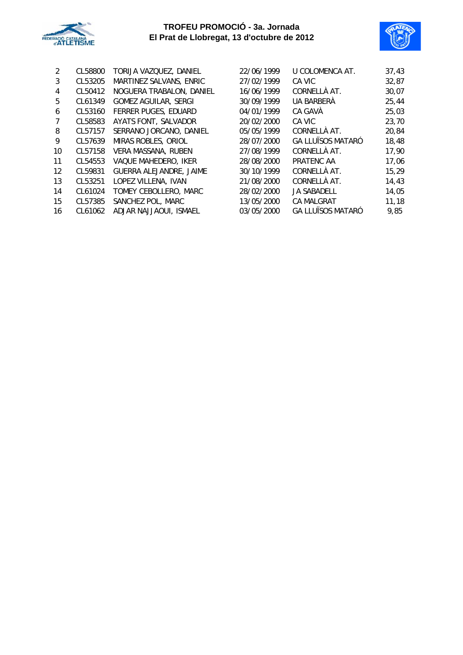



| 2  | CL58800 | TORIJA VAZQUEZ, DANIEL         | 22/06/1999 | U COLOMENCA AT.          | 37,43 |
|----|---------|--------------------------------|------------|--------------------------|-------|
| 3  | CL53205 | MARTINEZ SALVANS, ENRIC        | 27/02/1999 | CA VIC                   | 32,87 |
| 4  | CL50412 | NOGUERA TRABALON, DANIEL       | 16/06/1999 | CORNELLÀ AT.             | 30,07 |
| 5  | CL61349 | <b>GOMEZ AGUILAR, SERGI</b>    | 30/09/1999 | <b>UA BARBERÀ</b>        | 25,44 |
| 6  | CL53160 | <b>FERRER PUGES, EDUARD</b>    | 04/01/1999 | CA GAVÀ                  | 25,03 |
| 7  | CL58583 | AYATS FONT, SALVADOR           | 20/02/2000 | CA VIC                   | 23,70 |
| 8  | CL57157 | SERRANO JORCANO, DANIEL        | 05/05/1999 | CORNELLÀ AT.             | 20,84 |
| 9  | CL57639 | MIRAS ROBLES, ORIOL            | 28/07/2000 | <b>GA LLUÏSOS MATARÓ</b> | 18,48 |
| 10 | CL57158 | VERA MASSANA, RUBEN            | 27/08/1999 | CORNELLÀ AT.             | 17,90 |
| 11 | CL54553 | VAQUE MAHEDERO, IKER           | 28/08/2000 | PRATENC AA               | 17,06 |
| 12 | CL59831 | <b>GUERRA ALEJANDRE, JAIME</b> | 30/10/1999 | CORNELLÀ AT.             | 15,29 |
| 13 | CL53251 | LOPEZ VILLENA, IVAN            | 21/08/2000 | CORNELLÀ AT.             | 14,43 |
| 14 | CL61024 | TOMEY CEBOLLERO, MARC          | 28/02/2000 | <b>JA SABADELL</b>       | 14,05 |
| 15 | CL57385 | SANCHEZ POL, MARC              | 13/05/2000 | <b>CA MALGRAT</b>        | 11,18 |
| 16 | CL61062 | ADJAR NAJJAOUI, ISMAEL         | 03/05/2000 | <b>GA LLUÏSOS MATARÓ</b> | 9,85  |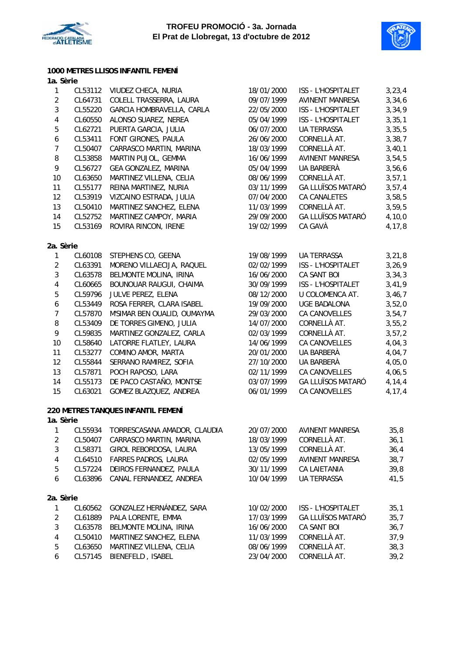



### **1000 METRES LLISOS INFANTIL FEMENÍ**

| 1a. Sèrie               |         |                                    |            |                          |          |
|-------------------------|---------|------------------------------------|------------|--------------------------|----------|
| 1                       | CL53112 | VIUDEZ CHECA, NURIA                | 18/01/2000 | ISS - L'HOSPITALET       | 3, 23, 4 |
| $\sqrt{2}$              | CL64731 | COLELL TRASSERRA, LAURA            | 09/07/1999 | <b>AVINENT MANRESA</b>   | 3,34,6   |
| $\sqrt{3}$              | CL55220 | GARCIA HOMBRAVELLA, CARLA          | 22/05/2000 | ISS - L'HOSPITALET       | 3,34,9   |
| $\pmb{4}$               | CL60550 | ALONSO SUAREZ, NEREA               | 05/04/1999 | ISS - L'HOSPITALET       | 3, 35, 1 |
| 5                       | CL62721 | PUERTA GARCIA, JULIA               | 06/07/2000 | <b>UA TERRASSA</b>       | 3, 35, 5 |
| $\boldsymbol{6}$        | CL53411 | FONT GIRONES, PAULA                | 26/06/2000 | CORNELLÀ AT.             | 3,38,7   |
| $\overline{7}$          | CL50407 | CARRASCO MARTIN, MARINA            | 18/03/1999 | CORNELLÀ AT.             | 3,40,1   |
| $\, 8$                  | CL53858 | MARTIN PUJOL, GEMMA                | 16/06/1999 | <b>AVINENT MANRESA</b>   | 3,54,5   |
| 9                       | CL56727 | GEA GONZALEZ, MARINA               | 05/04/1999 | UA BARBERÀ               | 3,56,6   |
| 10                      | CL63650 | MARTINEZ VILLENA, CELIA            | 08/06/1999 | CORNELLÀ AT.             | 3, 57, 1 |
| 11                      | CL55177 | REINA MARTINEZ, NURIA              | 03/11/1999 | <b>GA LLUÏSOS MATARÓ</b> | 3, 57, 4 |
| 12                      | CL53919 | VIZCAINO ESTRADA, JULIA            | 07/04/2000 | CA CANALETES             | 3,58,5   |
| 13                      | CL50410 | MARTINEZ SANCHEZ, ELENA            | 11/03/1999 | CORNELLÀ AT.             | 3,59,5   |
| 14                      | CL52752 | MARTINEZ CAMPOY, MARIA             | 29/09/2000 | <b>GA LLUÏSOS MATARÓ</b> | 4, 10, 0 |
| 15                      | CL53169 | ROVIRA RINCON, IRENE               | 19/02/1999 | CA GAVÀ                  | 4,17,8   |
| 2a. Sèrie               |         |                                    |            |                          |          |
| 1                       | CL60108 | STEPHENS CO, GEENA                 | 19/08/1999 | UA TERRASSA              | 3, 21, 8 |
| $\sqrt{2}$              | CL63391 | MORENO VILLAECIJA, RAQUEL          | 02/02/1999 | ISS - L'HOSPITALET       | 3,26,9   |
| $\sqrt{3}$              | CL63578 | BELMONTE MOLINA, IRINA             | 16/06/2000 | CA SANT BOI              | 3, 34, 3 |
| $\pmb{4}$               | CL60665 | BOUNOUAR RAUGUI, CHAIMA            | 30/09/1999 | ISS - L'HOSPITALET       | 3,41,9   |
| $\mathbf 5$             | CL59796 | JULVE PEREZ, ELENA                 | 08/12/2000 | U COLOMENCA AT.          | 3,46,7   |
| $\boldsymbol{6}$        | CL53449 | ROSA FERRER, CLARA ISABEL          | 19/09/2000 | <b>UGE BADALONA</b>      | 3,52,0   |
| $\overline{7}$          | CL57870 | M'SIMAR BEN OUALID, OUMAYMA        | 29/03/2000 | CA CANOVELLES            | 3,54,7   |
| $\, 8$                  | CL53409 | DE TORRES GIMENO, JULIA            | 14/07/2000 | CORNELLÀ AT.             | 3,55,2   |
| 9                       | CL59835 | MARTINEZ GONZALEZ, CARLA           | 02/03/1999 | CORNELLÀ AT.             | 3, 57, 2 |
| 10                      | CL58640 | LATORRE FLATLEY, LAURA             | 14/06/1999 | CA CANOVELLES            | 4,04,3   |
| 11                      | CL53277 | COMINO AMOR, MARTA                 | 20/01/2000 | UA BARBERÀ               | 4,04,7   |
| 12                      | CL55844 | SERRANO RAMIREZ, SOFIA             | 27/10/2000 | UA BARBERÀ               | 4,05,0   |
| 13                      | CL57871 | POCH RAPOSO, LARA                  | 02/11/1999 | CA CANOVELLES            | 4,06,5   |
| 14                      | CL55173 | DE PACO CASTAÑO, MONTSE            | 03/07/1999 | <b>GA LLUÏSOS MATARÓ</b> | 4, 14, 4 |
| 15                      | CL63021 | GOMEZ BLAZQUEZ, ANDREA             | 06/01/1999 | CA CANOVELLES            | 4,17,4   |
|                         |         | 220 METRES TANQUES INFANTIL FEMENÍ |            |                          |          |
| 1a. Sèrie               |         |                                    |            |                          |          |
| 1                       | CL55934 | TORRESCASANA AMADOR, CLAUDIA       | 20/07/2000 | <b>AVINENT MANRESA</b>   | 35,8     |
| $\sqrt{2}$              | CL50407 | CARRASCO MARTIN, MARINA            | 18/03/1999 | CORNELLÀ AT.             | 36,1     |
| $\mathbf{3}$            | CL58371 | GIROL REBORDOSA, LAURA             | 13/05/1999 | CORNELLÀ AT.             | 36,4     |
| $\pmb{4}$               | CL64510 | FARRES PADROS, LAURA               | 02/05/1999 | <b>AVINENT MANRESA</b>   | 38,7     |
| $\mathbf 5$             | CL57224 | DEIROS FERNANDEZ, PAULA            | 30/11/1999 | CA LAIETANIA             | 39,8     |
| 6                       | CL63896 | CANAL FERNANDEZ, ANDREA            | 10/04/1999 | UA TERRASSA              | 41,5     |
|                         |         |                                    |            |                          |          |
| 2a. Sèrie               |         |                                    |            |                          |          |
| $\mathbf{1}$            | CL60562 | GONZALEZ HERNÁNDEZ, SARA           | 10/02/2000 | ISS - L'HOSPITALET       | 35,1     |
| $\sqrt{2}$              | CL61889 | PALA LORENTE, EMMA                 | 17/03/1999 | <b>GA LLUÏSOS MATARÓ</b> | 35,7     |
| 3                       | CL63578 | BELMONTE MOLINA, IRINA             | 16/06/2000 | CA SANT BOI              | 36,7     |
| $\overline{\mathbf{4}}$ | CL50410 | MARTINEZ SANCHEZ, ELENA            | 11/03/1999 | CORNELLÀ AT.             | 37,9     |
| 5                       | CL63650 | MARTINEZ VILLENA, CELIA            | 08/06/1999 | CORNELLÀ AT.             | 38,3     |

6 CL57145 BIENEFELD , ISABEL 23/04/2000 CORNELLÀ AT. 39,2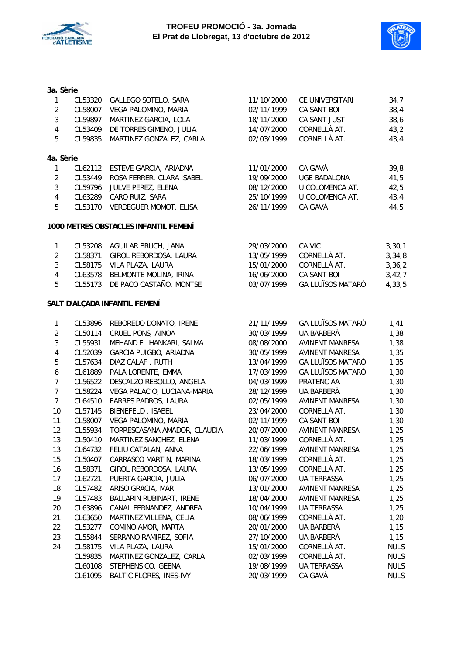



### **3a. Sèrie**

| 1                       | CL53320 | GALLEGO SOTELO, SARA                  | 11/10/2000 | CE UNIVERSITARI          | 34,7        |
|-------------------------|---------|---------------------------------------|------------|--------------------------|-------------|
| $\overline{c}$          | CL58007 | VEGA PALOMINO, MARIA                  | 02/11/1999 | CA SANT BOI              | 38,4        |
| $\mathbf{3}$            | CL59897 | MARTINEZ GARCIA, LOLA                 | 18/11/2000 | CA SANT JUST             | 38,6        |
| $\overline{\mathbf{4}}$ | CL53409 | DE TORRES GIMENO, JULIA               | 14/07/2000 | CORNELLÀ AT.             | 43,2        |
| 5                       | CL59835 | MARTINEZ GONZALEZ, CARLA              | 02/03/1999 | CORNELLÀ AT.             | 43,4        |
| 4a. Sèrie               |         |                                       |            |                          |             |
| $\mathbf{1}$            | CL62112 | ESTEVE GARCIA, ARIADNA                | 11/01/2000 | CA GAVÀ                  | 39,8        |
| $\overline{2}$          | CL53449 | ROSA FERRER, CLARA ISABEL             | 19/09/2000 | <b>UGE BADALONA</b>      | 41,5        |
| 3                       | CL59796 | JULVE PEREZ, ELENA                    | 08/12/2000 | U COLOMENCA AT.          | 42,5        |
| $\overline{\mathbf{4}}$ | CL63289 | CARO RUIZ, SARA                       | 25/10/1999 | U COLOMENCA AT.          | 43,4        |
| 5                       |         | CL53170 VERDEGUER MOMOT, ELISA        | 26/11/1999 | CA GAVÀ                  | 44,5        |
|                         |         | 1000 METRES OBSTACLES INFANTIL FEMENÍ |            |                          |             |
| $\mathbf{1}$            |         | CL53208 AGUILAR BRUCH, JANA           | 29/03/2000 | CA VIC                   | 3, 30, 1    |
| $\overline{2}$          | CL58371 | GIROL REBORDOSA, LAURA                | 13/05/1999 | CORNELLÀ AT.             | 3, 34, 8    |
| 3                       | CL58175 | VILA PLAZA, LAURA                     | 15/01/2000 | CORNELLÀ AT.             | 3, 36, 2    |
| $\overline{\mathbf{4}}$ | CL63578 | BELMONTE MOLINA, IRINA                | 16/06/2000 | CA SANT BOI              | 3,42,7      |
| 5                       | CL55173 | DE PACO CASTAÑO, MONTSE               | 03/07/1999 | <b>GA LLUÏSOS MATARÓ</b> | 4,33,5      |
|                         |         | SALT D'ALÇADA INFANTIL FEMENÍ         |            |                          |             |
| $\mathbf{1}$            | CL53896 | REBOREDO DONATO, IRENE                | 21/11/1999 | <b>GA LLUÏSOS MATARÓ</b> | 1,41        |
| $\overline{\mathbf{c}}$ | CL50114 | CRUEL PONS, AINOA                     | 30/03/1999 | UA BARBERÀ               | 1,38        |
| 3                       | CL55931 | MEHAND EL HANKARI, SALMA              | 08/08/2000 | <b>AVINENT MANRESA</b>   | 1,38        |
| 4                       | CL52039 | GARCIA PUIGBO, ARIADNA                | 30/05/1999 | <b>AVINENT MANRESA</b>   | 1,35        |
| 5                       | CL57634 | DIAZ CALAF, RUTH                      | 13/04/1999 | <b>GA LLUÏSOS MATARÓ</b> | 1,35        |
| 6                       | CL61889 | PALA LORENTE, EMMA                    | 17/03/1999 | <b>GA LLUÏSOS MATARÓ</b> | 1,30        |
| $\overline{7}$          | CL56522 | DESCALZO REBOLLO, ANGELA              | 04/03/1999 | PRATENC AA               | 1,30        |
| $\overline{7}$          | CL58224 | VEGA PALACIO, LUCIANA-MARIA           | 28/12/1999 | UA BARBERÀ               | 1,30        |
| $\overline{7}$          | CL64510 | <b>FARRES PADROS, LAURA</b>           | 02/05/1999 | <b>AVINENT MANRESA</b>   | 1,30        |
| 10                      | CL57145 | BIENEFELD, ISABEL                     | 23/04/2000 | CORNELLÀ AT.             | 1,30        |
| 11                      | CL58007 | VEGA PALOMINO, MARIA                  | 02/11/1999 | CA SANT BOI              | 1,30        |
| 12                      | CL55934 | TORRESCASANA AMADOR, CLAUDIA          | 20/07/2000 | <b>AVINENT MANRESA</b>   | 1,25        |
| 13                      | CL50410 | MARTINEZ SANCHEZ, ELENA               | 11/03/1999 | CORNELLÀ AT.             | 1,25        |
| 13                      | CL64732 | FELIU CATALAN, ANNA                   | 22/06/1999 | <b>AVINENT MANRESA</b>   | 1,25        |
| 15                      | CL50407 | CARRASCO MARTIN, MARINA               | 18/03/1999 | CORNELLÀ AT.             | 1,25        |
| 16                      | CL58371 | GIROL REBORDOSA, LAURA                | 13/05/1999 | CORNELLÀ AT.             | 1,25        |
| 17                      | CL62721 | PUERTA GARCIA, JULIA                  | 06/07/2000 | UA TERRASSA              | 1,25        |
| 18                      | CL57482 | ARISO GRACIA, MAR                     | 13/01/2000 | <b>AVINENT MANRESA</b>   | 1,25        |
| 19                      | CL57483 | BALLARIN RUBINART, IRENE              | 18/04/2000 | <b>AVINENT MANRESA</b>   | 1,25        |
| 20                      | CL63896 | CANAL FERNANDEZ, ANDREA               | 10/04/1999 | <b>UA TERRASSA</b>       | 1,25        |
| 21                      | CL63650 | MARTINEZ VILLENA, CELIA               | 08/06/1999 | CORNELLÀ AT.             | 1,20        |
| 22                      | CL53277 | COMINO AMOR, MARTA                    | 20/01/2000 | UA BARBERÀ               | 1,15        |
| 23                      | CL55844 | SERRANO RAMIREZ, SOFIA                | 27/10/2000 | UA BARBERÀ               | 1,15        |
| 24                      | CL58175 | VILA PLAZA, LAURA                     | 15/01/2000 | CORNELLÀ AT.             | <b>NULS</b> |
|                         | CL59835 | MARTINEZ GONZALEZ, CARLA              | 02/03/1999 | CORNELLÀ AT.             | <b>NULS</b> |
|                         | CL60108 | STEPHENS CO, GEENA                    | 19/08/1999 | UA TERRASSA              | <b>NULS</b> |
|                         | CL61095 | <b>BALTIC FLORES, INES-IVY</b>        | 20/03/1999 | CA GAVÀ                  | <b>NULS</b> |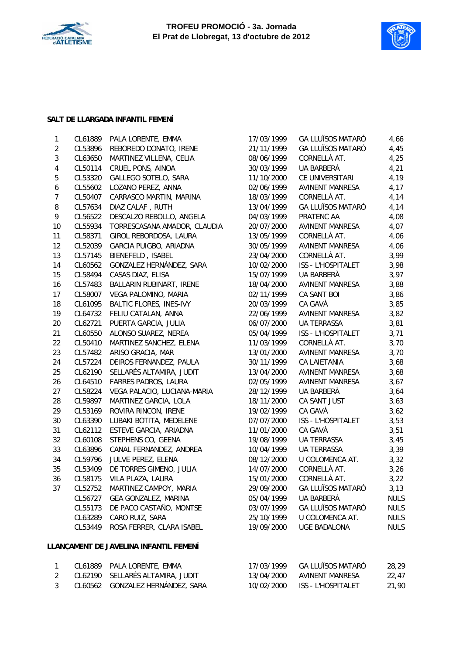



### **SALT DE LLARGADA INFANTIL FEMENÍ**

| $\mathbf 1$      | CL61889 | PALA LORENTE, EMMA             | 17/03/1999 | <b>GA LLUÏSOS MATARÓ</b> | 4,66        |
|------------------|---------|--------------------------------|------------|--------------------------|-------------|
| $\sqrt{2}$       | CL53896 | REBOREDO DONATO, IRENE         | 21/11/1999 | <b>GA LLUÏSOS MATARÓ</b> | 4,45        |
| $\mathfrak{Z}$   | CL63650 | MARTINEZ VILLENA, CELIA        | 08/06/1999 | CORNELLÀ AT.             | 4,25        |
| $\overline{4}$   | CL50114 | CRUEL PONS, AINOA              | 30/03/1999 | UA BARBERÀ               | 4,21        |
| $\mathbf 5$      | CL53320 | GALLEGO SOTELO, SARA           | 11/10/2000 | CE UNIVERSITARI          | 4,19        |
| $\boldsymbol{6}$ | CL55602 | LOZANO PEREZ, ANNA             | 02/06/1999 | <b>AVINENT MANRESA</b>   | 4,17        |
| $\overline{7}$   | CL50407 | CARRASCO MARTIN, MARINA        | 18/03/1999 | CORNELLÀ AT.             | 4,14        |
| 8                | CL57634 | DIAZ CALAF, RUTH               | 13/04/1999 | <b>GA LLUÏSOS MATARÓ</b> | 4,14        |
| 9                | CL56522 | DESCALZO REBOLLO, ANGELA       | 04/03/1999 | PRATENC AA               | 4,08        |
| 10               | CL55934 | TORRESCASANA AMADOR, CLAUDIA   | 20/07/2000 | <b>AVINENT MANRESA</b>   | 4,07        |
| 11               | CL58371 | GIROL REBORDOSA, LAURA         | 13/05/1999 | CORNELLÀ AT.             | 4,06        |
| 12               | CL52039 | GARCIA PUIGBO, ARIADNA         | 30/05/1999 | <b>AVINENT MANRESA</b>   | 4,06        |
| 13               | CL57145 | BIENEFELD, ISABEL              | 23/04/2000 | CORNELLÀ AT.             | 3,99        |
| 14               | CL60562 | GONZALEZ HERNÁNDEZ, SARA       | 10/02/2000 | ISS - L'HOSPITALET       | 3,98        |
| 15               | CL58494 | CASAS DIAZ, ELISA              | 15/07/1999 | UA BARBERÀ               | 3,97        |
| 16               | CL57483 | BALLARIN RUBINART, IRENE       | 18/04/2000 | <b>AVINENT MANRESA</b>   | 3,88        |
| 17               | CL58007 | VEGA PALOMINO, MARIA           | 02/11/1999 | <b>CA SANT BOI</b>       | 3,86        |
| 18               | CL61095 | <b>BALTIC FLORES, INES-IVY</b> | 20/03/1999 | CA GAVÀ                  | 3,85        |
| 19               | CL64732 | FELIU CATALAN, ANNA            | 22/06/1999 | <b>AVINENT MANRESA</b>   | 3,82        |
| 20               | CL62721 | PUERTA GARCIA, JULIA           | 06/07/2000 | <b>UA TERRASSA</b>       | 3,81        |
| 21               | CL60550 | ALONSO SUAREZ, NEREA           | 05/04/1999 | ISS - L'HOSPITALET       | 3,71        |
| 22               | CL50410 | MARTINEZ SANCHEZ, ELENA        | 11/03/1999 | CORNELLÀ AT.             | 3,70        |
| 23               | CL57482 | ARISO GRACIA, MAR              | 13/01/2000 | <b>AVINENT MANRESA</b>   | 3,70        |
| 24               | CL57224 | DEIROS FERNANDEZ, PAULA        | 30/11/1999 | CA LAIETANIA             | 3,68        |
| 25               | CL62190 | SELLARÉS ALTAMIRA, JUDIT       | 13/04/2000 | <b>AVINENT MANRESA</b>   | 3,68        |
| 26               | CL64510 | FARRES PADROS, LAURA           | 02/05/1999 | AVINENT MANRESA          | 3,67        |
| 27               | CL58224 | VEGA PALACIO, LUCIANA-MARIA    | 28/12/1999 | UA BARBERÀ               | 3,64        |
| 28               | CL59897 | MARTINEZ GARCIA, LOLA          | 18/11/2000 | CA SANT JUST             | 3,63        |
| 29               | CL53169 | ROVIRA RINCON, IRENE           | 19/02/1999 | CA GAVÀ                  | 3,62        |
| 30               | CL63390 | LUBAKI BOTITA, MEDELENE        | 07/07/2000 | ISS - L'HOSPITALET       | 3,53        |
| 31               | CL62112 | ESTEVE GARCIA, ARIADNA         | 11/01/2000 | CA GAVÀ                  | 3,51        |
| 32               | CL60108 | STEPHENS CO, GEENA             | 19/08/1999 | <b>UA TERRASSA</b>       | 3,45        |
| 33               | CL63896 | CANAL FERNANDEZ, ANDREA        | 10/04/1999 | <b>UA TERRASSA</b>       | 3,39        |
| 34               | CL59796 | JULVE PEREZ, ELENA             | 08/12/2000 | U COLOMENCA AT.          | 3,32        |
| 35               | CL53409 | DE TORRES GIMENO, JULIA        | 14/07/2000 | CORNELLÀ AT.             | 3,26        |
| 36               | CL58175 | VILA PLAZA, LAURA              | 15/01/2000 | CORNELLÀ AT.             | 3,22        |
| 37               | CL52752 | MARTINEZ CAMPOY, MARIA         | 29/09/2000 | <b>GA LLUÏSOS MATARÓ</b> | 3,13        |
|                  | CL56727 | GEA GONZALEZ, MARINA           | 05/04/1999 | UA BARBERÀ               | <b>NULS</b> |
|                  | CL55173 | DE PACO CASTAÑO, MONTSE        | 03/07/1999 | <b>GA LLUÏSOS MATARÓ</b> | <b>NULS</b> |
|                  | CL63289 | CARO RUIZ, SARA                | 25/10/1999 | U COLOMENCA AT.          | <b>NULS</b> |
|                  | CL53449 | ROSA FERRER, CLARA ISABEL      | 19/09/2000 | <b>UGE BADALONA</b>      | <b>NULS</b> |
|                  |         |                                |            |                          |             |

### **LLANÇAMENT DE JAVELINA INFANTIL FEMENÍ**

|  | CL61889 PALA LORENTE, EMMA       | 17/03/1999 | GA LLUÏSOS MATARÓ | 28.29 |
|--|----------------------------------|------------|-------------------|-------|
|  | CL62190 SELLARÉS ALTAMIRA, JUDIT | 13/04/2000 | AVINENT MANRESA   | 22,47 |
|  | CL60562 GONZALEZ HERNÁNDEZ, SARA |            |                   | 21.90 |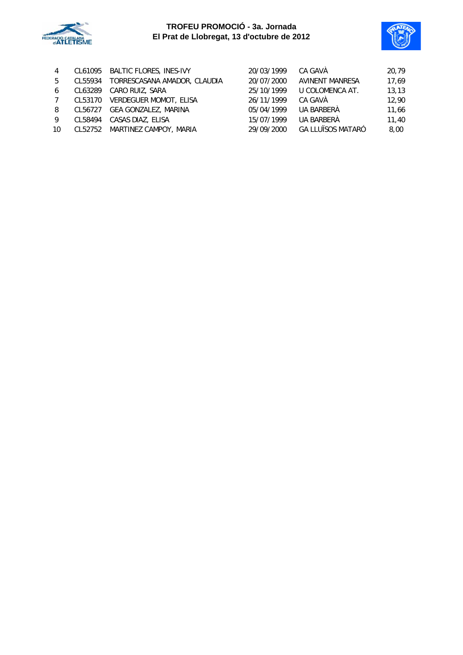



| 4               | CL61095 | BALTIC FLORES, INES-IVY        | 20/03/1999 | CA GAVÀ                  | 20,79  |
|-----------------|---------|--------------------------------|------------|--------------------------|--------|
| 5               | CL55934 | TORRESCASANA AMADOR, CLAUDIA   | 20/07/2000 | <b>AVINENT MANRESA</b>   | 17,69  |
| 6               | CL63289 | CARO RUIZ, SARA                | 25/10/1999 | U COLOMENCA AT.          | 13, 13 |
| $7\phantom{.0}$ | CL53170 | <b>VERDEGUER MOMOT, ELISA</b>  | 26/11/1999 | CA GAVÀ                  | 12,90  |
| 8               | CL56727 | GEA GONZALEZ, MARINA           | 05/04/1999 | UA BARBERÀ               | 11,66  |
| 9               | CL58494 | CASAS DIAZ, ELISA              | 15/07/1999 | UA BARBERÀ               | 11,40  |
| 10              |         | CL52752 MARTINEZ CAMPOY, MARIA | 29/09/2000 | <b>GA LLUÏSOS MATARÓ</b> | 8.00   |
|                 |         |                                |            |                          |        |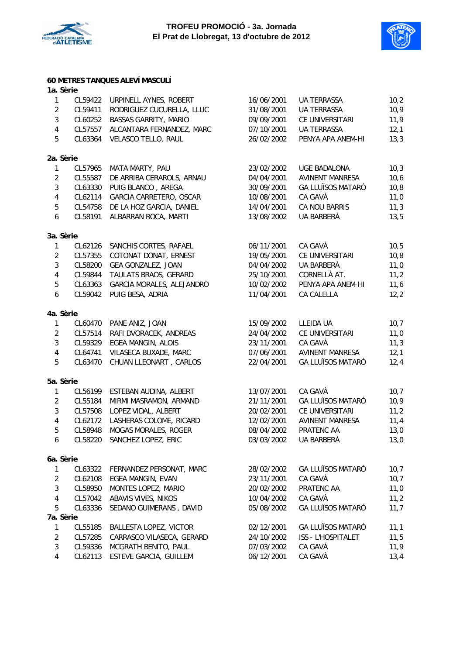



#### **60 METRES TANQUES ALEVÍ MASCULÍ**

| 1a. Sèrie        |         |                              |            |                          |       |
|------------------|---------|------------------------------|------------|--------------------------|-------|
| $\mathbf{1}$     | CL59422 | URPINELL AYNES, ROBERT       | 16/06/2001 | UA TERRASSA              | 10,2  |
| $\overline{2}$   | CL59411 | RODRIGUEZ CUCURELLA, LLUC    | 31/08/2001 | <b>UA TERRASSA</b>       | 10,9  |
| $\mathbf{3}$     | CL60252 | <b>BASSAS GARRITY, MARIO</b> | 09/09/2001 | CE UNIVERSITARI          | 11,9  |
| $\sqrt{4}$       | CL57557 | ALCANTARA FERNANDEZ, MARC    | 07/10/2001 | <b>UA TERRASSA</b>       | 12,1  |
| 5                | CL63364 | VELASCO TELLO, RAUL          | 26/02/2002 | PENYA APA ANEM-HI        | 13,3  |
| 2a. Sèrie        |         |                              |            |                          |       |
| $\mathbf{1}$     | CL57965 | MATA MARTY, PAU              | 23/02/2002 | <b>UGE BADALONA</b>      | 10,3  |
| $\overline{2}$   | CL55587 | DE ARRIBA CERAROLS, ARNAU    | 04/04/2001 | <b>AVINENT MANRESA</b>   | 10,6  |
| $\sqrt{3}$       | CL63330 | PUIG BLANCO, AREGA           | 30/09/2001 | <b>GA LLUÏSOS MATARÓ</b> | 10, 8 |
| $\pmb{4}$        | CL62114 | GARCIA CARRETERO, OSCAR      | 10/08/2001 | CA GAVÀ                  | 11,0  |
| $\sqrt{5}$       | CL54758 | DE LA HOZ GARCIA, DANIEL     | 14/04/2001 | <b>CA NOU BARRIS</b>     | 11,3  |
| $\boldsymbol{6}$ | CL58191 | ALBARRAN ROCA, MARTI         | 13/08/2002 | UA BARBERÀ               | 13,5  |
| 3a. Sèrie        |         |                              |            |                          |       |
| $\mathbf{1}$     | CL62126 | SANCHIS CORTES, RAFAEL       | 06/11/2001 | CA GAVÀ                  | 10, 5 |
| $\sqrt{2}$       | CL57355 | COTONAT DONAT, ERNEST        | 19/05/2001 | CE UNIVERSITARI          | 10,8  |
| $\mathfrak{Z}$   | CL58200 | GEA GONZALEZ, JOAN           | 04/04/2002 | UA BARBERÀ               | 11,0  |
| $\sqrt{4}$       | CL59844 | TAULATS BRAOS, GERARD        | 25/10/2001 | CORNELLÀ AT.             | 11,2  |
| $\mathbf 5$      | CL63363 | GARCIA MORALES, ALEJANDRO    | 10/02/2002 | PENYA APA ANEM-HI        | 11,6  |
| $\boldsymbol{6}$ | CL59042 | PUIG BESA, ADRIA             | 11/04/2001 | CA CALELLA               | 12,2  |
| 4a. Sèrie        |         |                              |            |                          |       |
| $\mathbf{1}$     | CL60470 | PANE ANIZ, JOAN              | 15/09/2002 | LLEIDA UA                | 10,7  |
| $\sqrt{2}$       | CL57514 | RAFI DVORACEK, ANDREAS       | 24/04/2002 | CE UNIVERSITARI          | 11,0  |
| $\sqrt{3}$       | CL59329 | <b>EGEA MANGIN, ALOIS</b>    | 23/11/2001 | CA GAVÀ                  | 11,3  |
| $\sqrt{4}$       | CL64741 | VILASECA BUXADE, MARC        | 07/06/2001 | <b>AVINENT MANRESA</b>   | 12,1  |
| 5                | CL63470 | CHUAN LLEONART, CARLOS       | 22/04/2001 | <b>GA LLUÏSOS MATARÓ</b> | 12,4  |
| 5a. Sèrie        |         |                              |            |                          |       |
| $\mathbf{1}$     | CL56199 | ESTEBAN AUDINA, ALBERT       | 13/07/2001 | CA GAVÀ                  | 10,7  |
| $\overline{2}$   | CL55184 | MIRMI MASRAMON, ARMAND       | 21/11/2001 | <b>GA LLUÏSOS MATARÓ</b> | 10,9  |
| $\sqrt{3}$       | CL57508 | LOPEZ VIDAL, ALBERT          | 20/02/2001 | CE UNIVERSITARI          | 11,2  |
| $\pmb{4}$        | CL62172 | LASHERAS COLOME, RICARD      | 12/02/2001 | <b>AVINENT MANRESA</b>   | 11,4  |
| 5                | CL58948 | MOGAS MORALES, ROGER         | 08/04/2002 | PRATENC AA               | 13,0  |
| 6                | CL58220 | SANCHEZ LOPEZ, ERIC          | 03/03/2002 | UA BARBERÀ               | 13,0  |
| 6a. Sèrie        |         |                              |            |                          |       |
| $\mathbf{1}$     | CL63322 | FERNANDEZ PERSONAT, MARC     | 28/02/2002 | <b>GA LLUÏSOS MATARÓ</b> | 10,7  |
| $\overline{2}$   | CL62108 | EGEA MANGIN, EVAN            | 23/11/2001 | CA GAVÀ                  | 10,7  |
| $\mathbf{3}$     | CL58950 | MONTES LOPEZ, MARIO          | 20/02/2002 | PRATENC AA               | 11,0  |
| $\overline{4}$   | CL57042 | ABAVIS VIVES, NIKOS          | 10/04/2002 | CA GAVÀ                  | 11,2  |
| 5                | CL63336 | SEDANO GUIMERANS, DAVID      | 05/08/2002 | <b>GA LLUÏSOS MATARÓ</b> | 11,7  |
| 7a. Sèrie        |         |                              |            |                          |       |
| $\mathbf{1}$     | CL55185 | BALLESTA LOPEZ, VICTOR       | 02/12/2001 | <b>GA LLUÏSOS MATARÓ</b> | 11,1  |
| $\overline{2}$   | CL57285 | CARRASCO VILASECA, GERARD    | 24/10/2002 | ISS - L'HOSPITALET       | 11,5  |
| $\mathbf{3}$     | CL59336 | MCGRATH BENITO, PAUL         | 07/03/2002 | CA GAVÀ                  | 11,9  |
| 4                | CL62113 | ESTEVE GARCIA, GUILLEM       | 06/12/2001 | CA GAVÀ                  | 13,4  |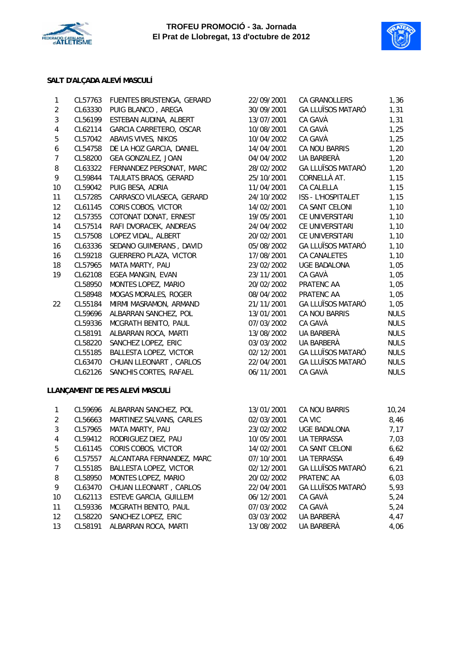



### **SALT D'ALÇADA ALEVÍ MASCULÍ**

| 1                       | CL57763 | FUENTES BRUSTENGA, GERARD     | 22/09/2001 | <b>CA GRANOLLERS</b>     | 1,36        |
|-------------------------|---------|-------------------------------|------------|--------------------------|-------------|
| $\overline{2}$          | CL63330 | PUIG BLANCO, AREGA            | 30/09/2001 | <b>GA LLUÏSOS MATARÓ</b> | 1,31        |
| 3                       | CL56199 | ESTEBAN AUDINA, ALBERT        | 13/07/2001 | CA GAVÀ                  | 1,31        |
| $\overline{\mathbf{4}}$ | CL62114 | GARCIA CARRETERO, OSCAR       | 10/08/2001 | CA GAVÀ                  | 1,25        |
| 5                       | CL57042 | ABAVIS VIVES, NIKOS           | 10/04/2002 | CA GAVÀ                  | 1,25        |
| 6                       | CL54758 | DE LA HOZ GARCIA, DANIEL      | 14/04/2001 | CA NOU BARRIS            | 1,20        |
| $\overline{7}$          | CL58200 | GEA GONZALEZ, JOAN            | 04/04/2002 | UA BARBERÀ               | 1,20        |
| 8                       | CL63322 | FERNANDEZ PERSONAT, MARC      | 28/02/2002 | <b>GA LLUÏSOS MATARÓ</b> | 1,20        |
| 9                       | CL59844 | TAULATS BRAOS, GERARD         | 25/10/2001 | CORNELLÀ AT.             | 1,15        |
| 10                      | CL59042 | PUIG BESA, ADRIA              | 11/04/2001 | <b>CA CALELLA</b>        | 1,15        |
| 11                      | CL57285 | CARRASCO VILASECA, GERARD     | 24/10/2002 | ISS - L'HOSPITALET       | 1,15        |
| 12                      | CL61145 | CORIS COBOS, VICTOR           | 14/02/2001 | CA SANT CELONI           | 1,10        |
| 12                      | CL57355 | COTONAT DONAT, ERNEST         | 19/05/2001 | CE UNIVERSITARI          | 1,10        |
| 14                      | CL57514 | RAFI DVORACEK, ANDREAS        | 24/04/2002 | CE UNIVERSITARI          | 1,10        |
| 15                      | CL57508 | LOPEZ VIDAL, ALBERT           | 20/02/2001 | CE UNIVERSITARI          | 1,10        |
| 16                      | CL63336 | SEDANO GUIMERANS, DAVID       | 05/08/2002 | <b>GA LLUÏSOS MATARÓ</b> | 1,10        |
| 16                      | CL59218 | <b>GUERRERO PLAZA, VICTOR</b> | 17/08/2001 | CA CANALETES             | 1,10        |
| 18                      | CL57965 | MATA MARTY, PAU               | 23/02/2002 | <b>UGE BADALONA</b>      | 1,05        |
| 19                      | CL62108 | EGEA MANGIN, EVAN             | 23/11/2001 | CA GAVÀ                  | 1,05        |
|                         | CL58950 | MONTES LOPEZ, MARIO           | 20/02/2002 | PRATENC AA               | 1,05        |
|                         | CL58948 | MOGAS MORALES, ROGER          | 08/04/2002 | PRATENC AA               | 1,05        |
| 22                      | CL55184 | MIRMI MASRAMON, ARMAND        | 21/11/2001 | <b>GA LLUÏSOS MATARÓ</b> | 1,05        |
|                         | CL59696 | ALBARRAN SANCHEZ, POL         | 13/01/2001 | CA NOU BARRIS            | <b>NULS</b> |
|                         | CL59336 | MCGRATH BENITO, PAUL          | 07/03/2002 | CA GAVÀ                  | <b>NULS</b> |
|                         | CL58191 | ALBARRAN ROCA, MARTI          | 13/08/2002 | UA BARBERÀ               | <b>NULS</b> |
|                         | CL58220 | SANCHEZ LOPEZ, ERIC           | 03/03/2002 | UA BARBERÀ               | <b>NULS</b> |
|                         | CL55185 | <b>BALLESTA LOPEZ, VICTOR</b> | 02/12/2001 | <b>GA LLUÏSOS MATARÓ</b> | <b>NULS</b> |
|                         | CL63470 | CHUAN LLEONART, CARLOS        | 22/04/2001 | <b>GA LLUÏSOS MATARÓ</b> | <b>NULS</b> |
|                         | CL62126 | SANCHIS CORTES, RAFAEL        | 06/11/2001 | CA GAVÀ                  | <b>NULS</b> |
|                         |         |                               |            |                          |             |

# **LLANÇAMENT DE PES ALEVÍ MASCULÍ**

| 1              | CL59696 | ALBARRAN SANCHEZ, POL         | 13/01/2001 | CA NOU BARRIS            | 10,24 |
|----------------|---------|-------------------------------|------------|--------------------------|-------|
| 2              | CL56663 | MARTINEZ SALVANS, CARLES      | 02/03/2001 | CA VIC                   | 8,46  |
| 3              | CL57965 | <b>MATA MARTY, PAU</b>        | 23/02/2002 | <b>UGE BADALONA</b>      | 7,17  |
| 4              | CL59412 | RODRIGUEZ DIEZ, PAU           | 10/05/2001 | <b>UA TERRASSA</b>       | 7.03  |
| 5              | CL61145 | CORIS COBOS, VICTOR           | 14/02/2001 | <b>CA SANT CELONI</b>    | 6,62  |
| 6              | CL57557 | ALCANTARA FERNANDEZ, MARC     | 07/10/2001 | <b>UA TERRASSA</b>       | 6.49  |
| $\overline{7}$ | CL55185 | BALLESTA LOPEZ, VICTOR        | 02/12/2001 | <b>GA LLUÏSOS MATARÓ</b> | 6.21  |
| 8              | CL58950 | MONTES LOPEZ, MARIO           | 20/02/2002 | PRATENC AA               | 6.03  |
| 9              | CL63470 | CHUAN LLEONART, CARLOS        | 22/04/2001 | <b>GA LLUÏSOS MATARÓ</b> | 5,93  |
| 10             | CL62113 | <b>ESTEVE GARCIA, GUILLEM</b> | 06/12/2001 | CA GAVÀ                  | 5,24  |
| 11             | CL59336 | <b>MCGRATH BENITO, PAUL</b>   | 07/03/2002 | CA GAVÀ                  | 5.24  |
| 12             | CL58220 | SANCHEZ LOPEZ, ERIC           | 03/03/2002 | UA BARBERÀ               | 4.47  |
| 13             | CL58191 | ALBARRAN ROCA, MARTI          | 13/08/2002 | UA BARBERÀ               | 4,06  |

| 22/09/2001 | CA GRANOLLERS              | 1,36        |
|------------|----------------------------|-------------|
| 30/09/2001 | ga lluïsos mataró          | 1,31        |
| 13/07/2001 | CA GAVÀ                    | 1,31        |
| 10/08/2001 | CA GAVÀ                    | 1,25        |
| 10/04/2002 | CA GAVÀ                    | 1,25        |
| 14/04/2001 | CA NOU BARRIS              | 1,20        |
| 04/04/2002 | UA BARBERÀ                 | 1,20        |
| 28/02/2002 | <b>GA LLUÏSOS MATARÓ</b>   | 1,20        |
| 25/10/2001 | CORNELLÀ AT.               | 1,15        |
|            | 11/04/2001 CA CALELLA      | 1,15        |
| 24/10/2002 | ISS - L'HOSPITALET         | 1,15        |
| 14/02/2001 | <b>CA SANT CELONI</b>      | 1,10        |
| 19/05/2001 | CE UNIVERSITARI            | 1,10        |
|            | 24/04/2002 CE UNIVERSITARI | 1,10        |
| 20/02/2001 | CE UNIVERSITARI            | 1,10        |
| 05/08/2002 | <b>GA LLUÏSOS MATARÓ</b>   | 1,10        |
| 17/08/2001 | <b>CA CANALETES</b>        | 1,10        |
| 23/02/2002 | <b>UGE BADALONA</b>        | 1,05        |
| 23/11/2001 | CA GAVÀ                    | 1,05        |
|            | 20/02/2002 PRATENC AA      | 1,05        |
| 08/04/2002 | PRATENC AA                 | 1,05        |
| 21/11/2001 | <b>GA LLUÏSOS MATARÓ</b>   | 1,05        |
| 13/01/2001 | <b>CA NOU BARRIS</b>       | <b>NULS</b> |
| 07/03/2002 | CA GAVÀ                    | <b>NULS</b> |
| 13/08/2002 | UA BARBERÀ                 | <b>NULS</b> |
| 03/03/2002 | UA BARBERÀ                 | <b>NULS</b> |
| 02/12/2001 | GA LLUÏSOS MATARÓ          | <b>NULS</b> |
| 22/04/2001 | <b>GA LLUÏSOS MATARÓ</b>   | <b>NULS</b> |
| 06/11/2001 | CA GAVÀ                    | <b>NULS</b> |
|            |                            |             |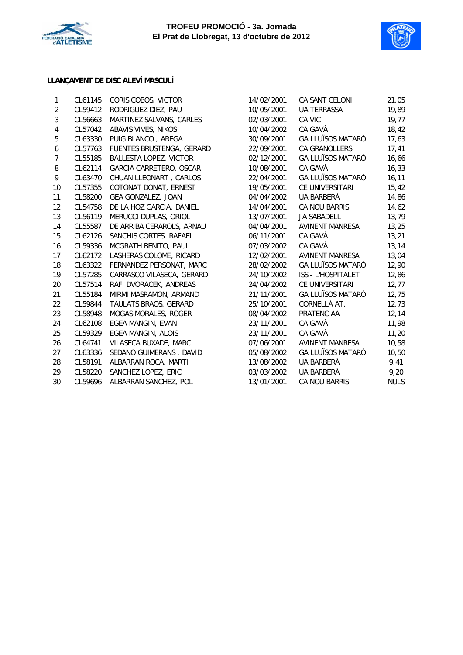



# **LLANÇAMENT DE DISC ALEVÍ MASCULÍ**

| 1              | CL61145 | CORIS COBOS, VICTOR           | 14/02/2001 | CA SANT CELONI           | 21,05       |
|----------------|---------|-------------------------------|------------|--------------------------|-------------|
| $\overline{2}$ | CL59412 | RODRIGUEZ DIEZ, PAU           | 10/05/2001 | <b>UA TERRASSA</b>       | 19,89       |
| 3              | CL56663 | MARTINEZ SALVANS, CARLES      | 02/03/2001 | CA VIC                   | 19,77       |
| 4              | CL57042 | ABAVIS VIVES, NIKOS           | 10/04/2002 | CA GAVÀ                  | 18,42       |
| 5              | CL63330 | PUIG BLANCO, AREGA            | 30/09/2001 | <b>GA LLUÏSOS MATARÓ</b> | 17,63       |
| 6              | CL57763 | FUENTES BRUSTENGA, GERARD     | 22/09/2001 | CA GRANOLLERS            | 17,41       |
| $\overline{7}$ | CL55185 | <b>BALLESTA LOPEZ, VICTOR</b> | 02/12/2001 | <b>GA LLUÏSOS MATARÓ</b> | 16,66       |
| 8              | CL62114 | GARCIA CARRETERO, OSCAR       | 10/08/2001 | CA GAVÀ                  | 16,33       |
| 9              | CL63470 | CHUAN LLEONART, CARLOS        | 22/04/2001 | <b>GA LLUÏSOS MATARÓ</b> | 16, 11      |
| 10             | CL57355 | COTONAT DONAT, ERNEST         | 19/05/2001 | CE UNIVERSITARI          | 15,42       |
| 11             | CL58200 | GEA GONZALEZ, JOAN            | 04/04/2002 | UA BARBERÀ               | 14,86       |
| 12             | CL54758 | DE LA HOZ GARCIA, DANIEL      | 14/04/2001 | CA NOU BARRIS            | 14,62       |
| 13             | CL56119 | MERUCCI DUPLAS, ORIOL         | 13/07/2001 | <b>JA SABADELL</b>       | 13,79       |
| 14             | CL55587 | DE ARRIBA CERAROLS, ARNAU     | 04/04/2001 | <b>AVINENT MANRESA</b>   | 13,25       |
| 15             | CL62126 | SANCHIS CORTES, RAFAEL        | 06/11/2001 | CA GAVÀ                  | 13,21       |
| 16             | CL59336 | MCGRATH BENITO, PAUL          | 07/03/2002 | CA GAVÀ                  | 13,14       |
| 17             | CL62172 | LASHERAS COLOME, RICARD       | 12/02/2001 | <b>AVINENT MANRESA</b>   | 13,04       |
| 18             | CL63322 | FERNANDEZ PERSONAT, MARC      | 28/02/2002 | <b>GA LLUÏSOS MATARÓ</b> | 12,90       |
| 19             | CL57285 | CARRASCO VILASECA, GERARD     | 24/10/2002 | ISS - L'HOSPITALET       | 12,86       |
| 20             | CL57514 | RAFI DVORACEK, ANDREAS        | 24/04/2002 | CE UNIVERSITARI          | 12,77       |
| 21             | CL55184 | MIRMI MASRAMON, ARMAND        | 21/11/2001 | <b>GA LLUÏSOS MATARÓ</b> | 12,75       |
| 22             | CL59844 | TAULATS BRAOS, GERARD         | 25/10/2001 | CORNELLÀ AT.             | 12,73       |
| 23             | CL58948 | <b>MOGAS MORALES, ROGER</b>   | 08/04/2002 | PRATENC AA               | 12,14       |
| 24             | CL62108 | EGEA MANGIN, EVAN             | 23/11/2001 | CA GAVÀ                  | 11,98       |
| 25             | CL59329 | <b>EGEA MANGIN, ALOIS</b>     | 23/11/2001 | CA GAVÀ                  | 11,20       |
| 26             | CL64741 | VILASECA BUXADE, MARC         | 07/06/2001 | <b>AVINENT MANRESA</b>   | 10,58       |
| 27             | CL63336 | SEDANO GUIMERANS, DAVID       | 05/08/2002 | <b>GA LLUÏSOS MATARÓ</b> | 10,50       |
| 28             | CL58191 | ALBARRAN ROCA, MARTI          | 13/08/2002 | UA BARBERÀ               | 9,41        |
| 29             | CL58220 | SANCHEZ LOPEZ, ERIC           | 03/03/2002 | UA BARBERÀ               | 9,20        |
| 30             | CL59696 | ALBARRAN SANCHEZ, POL         | 13/01/2001 | CA NOU BARRIS            | <b>NULS</b> |
|                |         |                               |            |                          |             |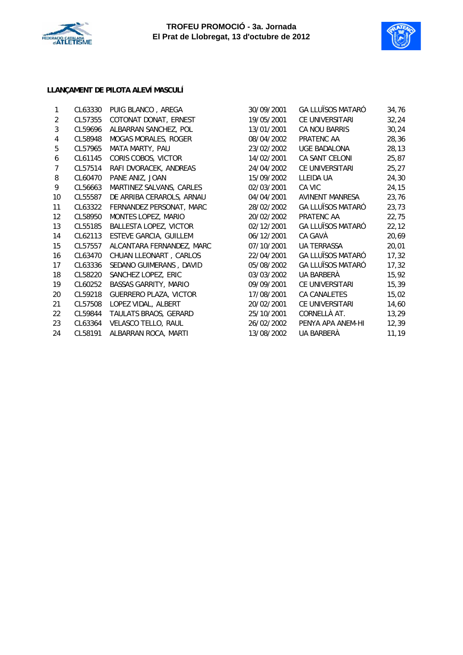



### **LLANÇAMENT DE PILOTA ALEVÍ MASCULÍ**

| 1                 | CL63330 | PUIG BLANCO, AREGA            | 30/09/2001 | <b>GA LLUÏSOS MATARÓ</b> | 34,76  |
|-------------------|---------|-------------------------------|------------|--------------------------|--------|
| 2                 | CL57355 | COTONAT DONAT, ERNEST         | 19/05/2001 | CE UNIVERSITARI          | 32,24  |
| 3                 | CL59696 | ALBARRAN SANCHEZ, POL         | 13/01/2001 | CA NOU BARRIS            | 30,24  |
| 4                 | CL58948 | MOGAS MORALES, ROGER          | 08/04/2002 | PRATENC AA               | 28,36  |
| 5                 | CL57965 | MATA MARTY, PAU               | 23/02/2002 | <b>UGE BADALONA</b>      | 28, 13 |
| 6                 | CL61145 | CORIS COBOS, VICTOR           | 14/02/2001 | CA SANT CELONI           | 25,87  |
| 7                 | CL57514 | RAFI DVORACEK, ANDREAS        | 24/04/2002 | CE UNIVERSITARI          | 25, 27 |
| 8                 | CL60470 | PANE ANIZ, JOAN               | 15/09/2002 | LLEIDA UA                | 24,30  |
| 9                 | CL56663 | MARTINEZ SALVANS, CARLES      | 02/03/2001 | CA VIC                   | 24,15  |
| 10                | CL55587 | DE ARRIBA CERAROLS, ARNAU     | 04/04/2001 | <b>AVINENT MANRESA</b>   | 23,76  |
| 11                | CL63322 | FERNANDEZ PERSONAT, MARC      | 28/02/2002 | <b>GA LLUÏSOS MATARÓ</b> | 23,73  |
| $12 \overline{ }$ | CL58950 | MONTES LOPEZ, MARIO           | 20/02/2002 | PRATENC AA               | 22,75  |
| 13                | CL55185 | BALLESTA LOPEZ, VICTOR        | 02/12/2001 | <b>GA LLUÏSOS MATARÓ</b> | 22, 12 |
| 14                | CL62113 | <b>ESTEVE GARCIA, GUILLEM</b> | 06/12/2001 | CA GAVÀ                  | 20,69  |
| 15                | CL57557 | ALCANTARA FERNANDEZ, MARC     | 07/10/2001 | <b>UA TERRASSA</b>       | 20,01  |
| 16                | CL63470 | CHUAN LLEONART, CARLOS        | 22/04/2001 | <b>GA LLUÏSOS MATARÓ</b> | 17,32  |
| 17                | CL63336 | SEDANO GUIMERANS, DAVID       | 05/08/2002 | <b>GA LLUÏSOS MATARÓ</b> | 17,32  |
| 18                | CL58220 | SANCHEZ LOPEZ, ERIC           | 03/03/2002 | UA BARBERÀ               | 15,92  |
| 19                | CL60252 | <b>BASSAS GARRITY, MARIO</b>  | 09/09/2001 | CE UNIVERSITARI          | 15,39  |
| 20                | CL59218 | <b>GUERRERO PLAZA, VICTOR</b> | 17/08/2001 | <b>CA CANALETES</b>      | 15,02  |
| 21                | CL57508 | LOPEZ VIDAL, ALBERT           | 20/02/2001 | <b>CE UNIVERSITARI</b>   | 14,60  |
| 22                | CL59844 | TAULATS BRAOS, GERARD         | 25/10/2001 | CORNELLÀ AT.             | 13,29  |
| 23                | CL63364 | VELASCO TELLO, RAUL           | 26/02/2002 | PENYA APA ANEM-HI        | 12,39  |
| 24                | CL58191 | ALBARRAN ROCA, MARTI          | 13/08/2002 | UA BARBERÀ               | 11,19  |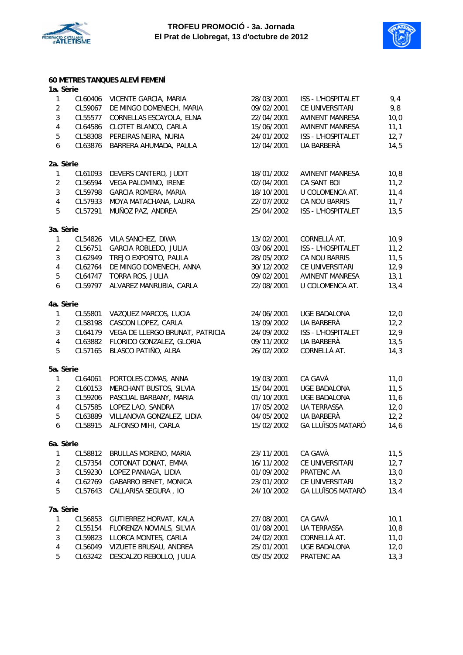



### **60 METRES TANQUES ALEVÍ FEMENÍ**

| 1a. Sèrie               |         |                                 |            |                          |      |
|-------------------------|---------|---------------------------------|------------|--------------------------|------|
| $\mathbf{1}$            | CL60406 | VICENTE GARCIA, MARIA           | 28/03/2001 | ISS - L'HOSPITALET       | 9,4  |
| $\overline{2}$          | CL59067 | DE MINGO DOMENECH, MARIA        | 09/02/2001 | CE UNIVERSITARI          | 9,8  |
| $\mathbf{3}$            | CL55577 | CORNELLAS ESCAYOLA, ELNA        | 22/04/2001 | <b>AVINENT MANRESA</b>   | 10,0 |
| $\overline{\mathbf{4}}$ | CL64586 | CLOTET BLANCO, CARLA            | 15/06/2001 | <b>AVINENT MANRESA</b>   | 11,1 |
| 5                       | CL58308 | PEREIRAS NEIRA, NURIA           | 24/01/2002 | ISS - L'HOSPITALET       | 12,7 |
| $\boldsymbol{6}$        | CL63876 | BARRERA AHUMADA, PAULA          | 12/04/2001 | UA BARBERÀ               | 14,5 |
| 2a. Sèrie               |         |                                 |            |                          |      |
| 1                       | CL61093 | DEVERS CANTERO, JUDIT           | 18/01/2002 | <b>AVINENT MANRESA</b>   | 10,8 |
| $\sqrt{2}$              | CL56594 | VEGA PALOMINO, IRENE            | 02/04/2001 | CA SANT BOI              | 11,2 |
| $\mathbf{3}$            | CL59798 | GARCIA ROMERA, MARIA            | 18/10/2001 | U COLOMENCA AT.          | 11,4 |
| $\overline{\mathbf{4}}$ | CL57933 | MOYA MATACHANA, LAURA           | 22/07/2002 | CA NOU BARRIS            | 11,7 |
| 5                       | CL57291 | MUÑOZ PAZ, ANDREA               | 25/04/2002 | ISS - L'HOSPITALET       | 13,5 |
| 3a. Sèrie               |         |                                 |            |                          |      |
| $\mathbf{1}$            | CL54826 | VILA SANCHEZ, DIWA              | 13/02/2001 | CORNELLÀ AT.             | 10,9 |
| $\sqrt{2}$              | CL56751 | GARCIA ROBLEDO, JULIA           | 03/06/2001 | ISS - L'HOSPITALET       | 11,2 |
| $\mathbf{3}$            | CL62949 | TREJO EXPOSITO, PAULA           | 28/05/2002 | CA NOU BARRIS            | 11,5 |
| $\overline{\mathbf{4}}$ | CL62764 | DE MINGO DOMENECH, ANNA         | 30/12/2002 | CE UNIVERSITARI          | 12,9 |
| 5                       | CL64747 | TORRA ROS, JULIA                | 09/02/2001 | <b>AVINENT MANRESA</b>   | 13,1 |
| $\boldsymbol{6}$        | CL59797 | ALVAREZ MANRUBIA, CARLA         | 22/08/2001 | U COLOMENCA AT.          | 13,4 |
| 4a. Sèrie               |         |                                 |            |                          |      |
| 1                       | CL55801 | VAZQUEZ MARCOS, LUCIA           | 24/06/2001 | UGE BADALONA             | 12,0 |
| $\overline{2}$          | CL58198 | CASCON LOPEZ, CARLA             | 13/09/2002 | UA BARBERÀ               | 12,2 |
| $\mathbf{3}$            | CL64179 | VEGA DE LLERGO BRUNAT, PATRICIA | 24/09/2002 | ISS - L'HOSPITALET       | 12,9 |
| $\overline{\mathbf{4}}$ | CL63882 | FLORIDO GONZALEZ, GLORIA        | 09/11/2002 | UA BARBERÀ               | 13,5 |
| 5                       | CL57165 | BLASCO PATIÑO, ALBA             | 26/02/2002 | CORNELLÀ AT.             | 14,3 |
| 5a. Sèrie               |         |                                 |            |                          |      |
| 1                       | CL64061 | PORTOLES COMAS, ANNA            | 19/03/2001 | CA GAVÀ                  | 11,0 |
| $\overline{c}$          | CL60153 | MERCHANT BUSTOS, SILVIA         | 15/04/2001 | <b>UGE BADALONA</b>      | 11,5 |
| $\mathbf{3}$            | CL59206 | PASCUAL BARBANY, MARIA          | 01/10/2001 | <b>UGE BADALONA</b>      | 11,6 |
| $\overline{\mathbf{4}}$ | CL57585 | LOPEZ LAO, SANDRA               | 17/05/2002 | <b>UA TERRASSA</b>       | 12,0 |
| $\mathbf 5$             | CL63889 | VILLANOVA GONZALEZ, LIDIA       | 04/05/2002 | UA BARBERÀ               | 12,2 |
| $\boldsymbol{6}$        | CL58915 | ALFONSO MIHI, CARLA             | 15/02/2002 | <b>GA LLUÏSOS MATARÓ</b> | 14,6 |
| 6a. Sèrie               |         |                                 |            |                          |      |
| 1                       | CL58812 | BRULLAS MORENO, MARIA           | 23/11/2001 | CA GAVÀ                  | 11,5 |
| $\overline{c}$          | CL57354 | COTONAT DONAT, EMMA             | 16/11/2002 | CE UNIVERSITARI          | 12,7 |
| 3                       | CL59230 | LOPEZ PANIAGA, LIDIA            | 01/09/2002 | PRATENC AA               | 13,0 |
| $\overline{\mathbf{4}}$ | CL62769 | GABARRO BENET, MONICA           | 23/01/2002 | CE UNIVERSITARI          | 13,2 |
| 5                       | CL57643 | CALLARISA SEGURA, IO            | 24/10/2002 | <b>GA LLUÏSOS MATARÓ</b> | 13,4 |
| 7a. Sèrie               |         |                                 |            |                          |      |
| 1                       | CL56853 | GUTIERREZ HORVAT, KALA          | 27/08/2001 | CA GAVÀ                  | 10,1 |
| $\overline{c}$          | CL55154 | FLORENZA NOVIALS, SILVIA        | 01/08/2001 | <b>UA TERRASSA</b>       | 10,8 |
| 3                       | CL59823 | LLORCA MONTES, CARLA            | 24/02/2001 | CORNELLÀ AT.             | 11,0 |
| $\overline{\mathbf{4}}$ | CL56049 | VIZUETE BRUSAU, ANDREA          | 25/01/2001 | <b>UGE BADALONA</b>      | 12,0 |
| 5                       | CL63242 | DESCALZO REBOLLO, JULIA         | 05/05/2002 | PRATENC AA               | 13,3 |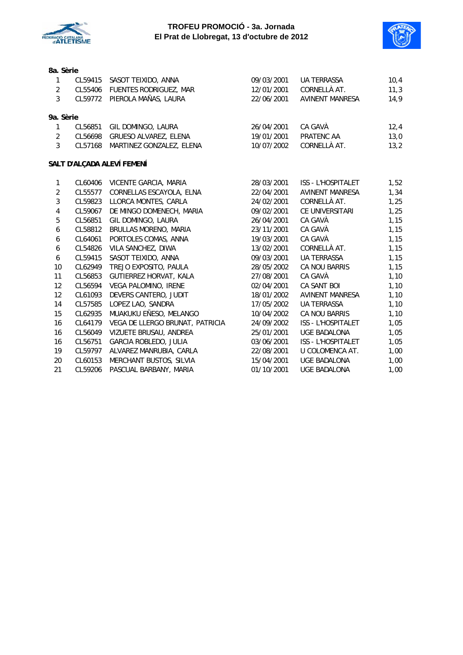



#### **8a. Sèrie**

| $\mathbf{1}$     | CL59415 | SASOT TEIXIDO, ANNA             | 09/03/2001 | <b>UA TERRASSA</b>        | 10,4 |
|------------------|---------|---------------------------------|------------|---------------------------|------|
| $\sqrt{2}$       |         | CL55406 FUENTES RODRIGUEZ, MAR  | 12/01/2001 | CORNELLÀ AT.              | 11,3 |
| 3                | CL59772 | PIEROLA MAÑAS, LAURA            | 22/06/2001 | <b>AVINENT MANRESA</b>    | 14,9 |
| 9a. Sèrie        |         |                                 |            |                           |      |
| 1                | CL56851 | GIL DOMINGO, LAURA              | 26/04/2001 | CA GAVÀ                   | 12,4 |
| $\overline{2}$   | CL56698 | GRUESO ALVAREZ, ELENA           | 19/01/2001 | PRATENC AA                | 13,0 |
| 3                | CL57168 | MARTINEZ GONZALEZ, ELENA        | 10/07/2002 | CORNELLÀ AT.              | 13,2 |
|                  |         | SALT D'ALÇADA ALEVÍ FEMENÍ      |            |                           |      |
| $\mathbf{1}$     | CL60406 | VICENTE GARCIA, MARIA           | 28/03/2001 | <b>ISS - L'HOSPITALET</b> | 1,52 |
| $\overline{2}$   | CL55577 | CORNELLAS ESCAYOLA, ELNA        | 22/04/2001 | <b>AVINENT MANRESA</b>    | 1,34 |
| $\overline{3}$   | CL59823 | LLORCA MONTES, CARLA            | 24/02/2001 | CORNELLÀ AT.              | 1,25 |
| $\overline{4}$   | CL59067 | DE MINGO DOMENECH, MARIA        | 09/02/2001 | CE UNIVERSITARI           | 1,25 |
| 5                | CL56851 | GIL DOMINGO, LAURA              | 26/04/2001 | CA GAVÀ                   | 1,15 |
| $\boldsymbol{6}$ | CL58812 | BRULLAS MORENO, MARIA           | 23/11/2001 | CA GAVÀ                   | 1,15 |
| 6                | CL64061 | PORTOLES COMAS, ANNA            | 19/03/2001 | CA GAVÀ                   | 1,15 |
| 6                | CL54826 | VILA SANCHEZ, DIWA              | 13/02/2001 | CORNELLÀ AT.              | 1,15 |
| 6                | CL59415 | SASOT TEIXIDO, ANNA             | 09/03/2001 | <b>UA TERRASSA</b>        | 1,15 |
| 10               | CL62949 | TREJO EXPOSITO, PAULA           | 28/05/2002 | <b>CA NOU BARRIS</b>      | 1,15 |
| 11               | CL56853 | GUTIERREZ HORVAT, KALA          | 27/08/2001 | CA GAVÀ                   | 1,10 |
| 12               | CL56594 | VEGA PALOMINO, IRENE            | 02/04/2001 | <b>CA SANT BOI</b>        | 1,10 |
| 12               | CL61093 | DEVERS CANTERO, JUDIT           | 18/01/2002 | <b>AVINENT MANRESA</b>    | 1,10 |
| 14               | CL57585 | LOPEZ LAO, SANDRA               | 17/05/2002 | <b>UA TERRASSA</b>        | 1,10 |
| 15               | CL62935 | MUAKUKU EÑESO, MELANGO          | 10/04/2002 | CA NOU BARRIS             | 1,10 |
| 16               | CL64179 | VEGA DE LLERGO BRUNAT, PATRICIA | 24/09/2002 | ISS - L'HOSPITALET        | 1,05 |
| 16               | CL56049 | VIZUETE BRUSAU, ANDREA          | 25/01/2001 | <b>UGE BADALONA</b>       | 1,05 |
| 16               | CL56751 | GARCIA ROBLEDO, JULIA           | 03/06/2001 | <b>ISS - L'HOSPITALET</b> | 1,05 |
| 19               | CL59797 | ALVAREZ MANRUBIA, CARLA         | 22/08/2001 | U COLOMENCA AT.           | 1,00 |
| 20               | CL60153 | MERCHANT BUSTOS, SILVIA         | 15/04/2001 | UGE BADALONA              | 1,00 |
| 21               | CL59206 | PASCUAL BARBANY, MARIA          | 01/10/2001 | <b>UGE BADALONA</b>       | 1,00 |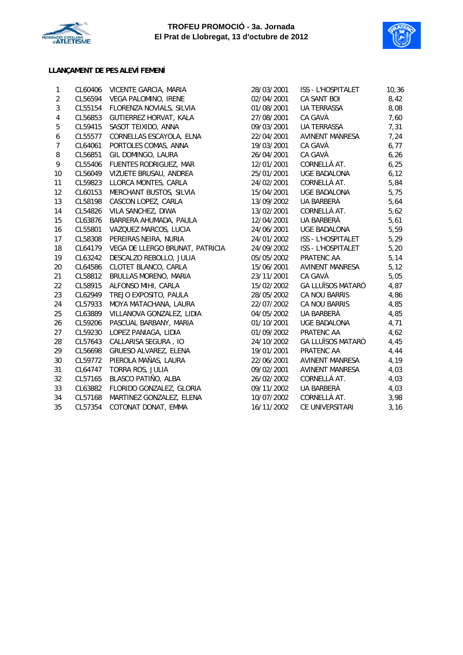



# **LLANÇAMENT DE PES ALEVÍ FEMENÍ**

| 1                | CL60406 | VICENTE GARCIA, MARIA           | 28/03/2001 | <b>ISS - L'HOSPITALET</b> | 10,36 |
|------------------|---------|---------------------------------|------------|---------------------------|-------|
| 2                | CL56594 | VEGA PALOMINO, IRENE            | 02/04/2001 | <b>CA SANT BOI</b>        | 8,42  |
| 3                | CL55154 | FLORENZA NOVIALS, SILVIA        | 01/08/2001 | UA TERRASSA               | 8,08  |
| 4                | CL56853 | GUTIERREZ HORVAT, KALA          | 27/08/2001 | CA GAVÀ                   | 7,60  |
| 5                | CL59415 | SASOT TEIXIDO, ANNA             | 09/03/2001 | UA TERRASSA               | 7,31  |
| $\boldsymbol{6}$ | CL55577 | CORNELLAS ESCAYOLA, ELNA        | 22/04/2001 | <b>AVINENT MANRESA</b>    | 7,24  |
| $\overline{7}$   | CL64061 | PORTOLES COMAS, ANNA            | 19/03/2001 | CA GAVÀ                   | 6,77  |
| 8                | CL56851 | GIL DOMINGO, LAURA              | 26/04/2001 | CA GAVÀ                   | 6,26  |
| 9                | CL55406 | FUENTES RODRIGUEZ, MAR          | 12/01/2001 | CORNELLÀ AT.              | 6,25  |
| 10               | CL56049 | VIZUETE BRUSAU, ANDREA          | 25/01/2001 | <b>UGE BADALONA</b>       | 6, 12 |
| 11               | CL59823 | LLORCA MONTES, CARLA            | 24/02/2001 | CORNELLÀ AT.              | 5,84  |
| 12               | CL60153 | MERCHANT BUSTOS, SILVIA         | 15/04/2001 | <b>UGE BADALONA</b>       | 5,75  |
| 13               | CL58198 | CASCON LOPEZ, CARLA             | 13/09/2002 | UA BARBERÀ                | 5,64  |
| 14               | CL54826 | VILA SANCHEZ, DIWA              | 13/02/2001 | CORNELLÀ AT.              | 5,62  |
| 15               | CL63876 | BARRERA AHUMADA, PAULA          | 12/04/2001 | UA BARBERÀ                | 5,61  |
| 16               | CL55801 | VAZQUEZ MARCOS, LUCIA           | 24/06/2001 | UGE BADALONA              | 5,59  |
| 17               | CL58308 | PEREIRAS NEIRA, NURIA           | 24/01/2002 | ISS - L'HOSPITALET        | 5,29  |
| 18               | CL64179 | VEGA DE LLERGO BRUNAT, PATRICIA | 24/09/2002 | ISS - L'HOSPITALET        | 5,20  |
| 19               | CL63242 | DESCALZO REBOLLO, JULIA         | 05/05/2002 | PRATENC AA                | 5,14  |
| 20               | CL64586 | CLOTET BLANCO, CARLA            | 15/06/2001 | <b>AVINENT MANRESA</b>    | 5,12  |
| 21               | CL58812 | BRULLAS MORENO, MARIA           | 23/11/2001 | CA GAVÀ                   | 5,05  |
| 22               | CL58915 | ALFONSO MIHI, CARLA             | 15/02/2002 | <b>GA LLUÏSOS MATARÓ</b>  | 4,87  |
| 23               | CL62949 | TREJO EXPOSITO, PAULA           | 28/05/2002 | CA NOU BARRIS             | 4,86  |
| 24               | CL57933 | MOYA MATACHANA, LAURA           | 22/07/2002 | CA NOU BARRIS             | 4,85  |
| 25               | CL63889 | VILLANOVA GONZALEZ, LIDIA       | 04/05/2002 | UA BARBERÀ                | 4,85  |
| 26               | CL59206 | PASCUAL BARBANY, MARIA          | 01/10/2001 | <b>UGE BADALONA</b>       | 4,71  |
| 27               | CL59230 | LOPEZ PANIAGA, LIDIA            | 01/09/2002 | PRATENC AA                | 4,62  |
| 28               | CL57643 | CALLARISA SEGURA, IO            | 24/10/2002 | <b>GA LLUÏSOS MATARÓ</b>  | 4,45  |
| 29               | CL56698 | GRUESO ALVAREZ, ELENA           | 19/01/2001 | PRATENC AA                | 4,44  |
| 30               | CL59772 | PIEROLA MAÑAS, LAURA            | 22/06/2001 | AVINENT MANRESA           | 4,19  |
| 31               | CL64747 | TORRA ROS, JULIA                | 09/02/2001 | <b>AVINENT MANRESA</b>    | 4,03  |
| 32               | CL57165 | BLASCO PATIÑO, ALBA             | 26/02/2002 | CORNELLÀ AT.              | 4,03  |
| 33               | CL63882 | FLORIDO GONZALEZ, GLORIA        | 09/11/2002 | UA BARBERÀ                | 4,03  |
| 34               | CL57168 | MARTINEZ GONZALEZ, ELENA        | 10/07/2002 | CORNELLÀ AT.              | 3,98  |
| 35               | CL57354 | COTONAT DONAT, EMMA             | 16/11/2002 | CE UNIVERSITARI           | 3,16  |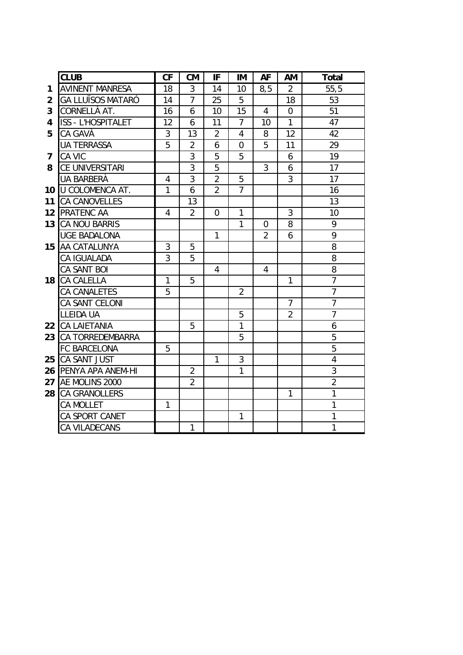|                | <b>CLUB</b>              | CF             | <b>CM</b>      | IF             | IM             | <b>AF</b>      | AM             | <b>Total</b>   |
|----------------|--------------------------|----------------|----------------|----------------|----------------|----------------|----------------|----------------|
| 1              | <b>AVINENT MANRESA</b>   | 18             | 3              | 14             | 10             | 8,5            | $\overline{2}$ | 55, 5          |
| $\overline{2}$ | <b>GA LLUÏSOS MATARÓ</b> | 14             | $\overline{7}$ | 25             | 5              |                | 18             | 53             |
| 3              | CORNELLÀ AT.             | 16             | 6              | 10             | 15             | $\overline{4}$ | $\overline{0}$ | 51             |
| 4              | ISS - L'HOSPITALET       | 12             | 6              | 11             | $\overline{7}$ | 10             | $\mathbf{1}$   | 47             |
| 5              | CA GAVÀ                  | 3              | 13             | $\overline{2}$ | $\overline{4}$ | 8              | 12             | 42             |
|                | <b>UA TERRASSA</b>       | 5              | $\overline{2}$ | 6              | $\overline{0}$ | 5              | 11             | 29             |
| 7              | CA VIC                   |                | 3              | 5              | 5              |                | 6              | 19             |
| 8              | CE UNIVERSITARI          |                | $\overline{3}$ | $\overline{5}$ |                | 3              | 6              | 17             |
|                | UA BARBERÀ               | $\overline{4}$ | 3              | $\overline{2}$ | 5              |                | 3              | 17             |
| 10             | <b>U COLOMENCA AT.</b>   | $\mathbf{1}$   | 6              | $\overline{2}$ | $\overline{7}$ |                |                | 16             |
| 11             | <b>CA CANOVELLES</b>     |                | 13             |                |                |                |                | 13             |
| 12             | <b>PRATENC AA</b>        | $\overline{4}$ | $\overline{2}$ | $\overline{0}$ | $\mathbf{1}$   |                | 3              | 10             |
| 13             | <b>CA NOU BARRIS</b>     |                |                |                | 1              | $\overline{0}$ | 8              | 9              |
|                | <b>UGE BADALONA</b>      |                |                | 1              |                | $\overline{2}$ | 6              | 9              |
| 15             | AA CATALUNYA             | 3              | 5              |                |                |                |                | 8              |
|                | CA IGUALADA              | 3              | 5              |                |                |                |                | 8              |
|                | CA SANT BOI              |                |                | 4              |                | 4              |                | 8              |
| 18             | CA CALELLA               | $\mathbf{1}$   | 5              |                |                |                | 1              | $\overline{7}$ |
|                | CA CANALETES             | 5              |                |                | $\overline{2}$ |                |                | $\overline{7}$ |
|                | CA SANT CELONI           |                |                |                |                |                | $\overline{7}$ | $\overline{7}$ |
|                | <b>LLEIDA UA</b>         |                |                |                | 5              |                | $\overline{2}$ | $\overline{7}$ |
| 22             | <b>CA LAIETANIA</b>      |                | 5              |                | $\mathbf{1}$   |                |                | 6              |
| 23             | <b>CA TORREDEMBARRA</b>  |                |                |                | 5              |                |                | 5              |
|                | FC BARCELONA             | 5              |                |                |                |                |                | $\overline{5}$ |
| 25             | CA SANT JUST             |                |                | $\mathbf{1}$   | 3              |                |                | 4              |
| 26             | PENYA APA ANEM-HI        |                | $\overline{2}$ |                | 1              |                |                | 3              |
| 27             | AE MOLINS 2000           |                | $\overline{2}$ |                |                |                |                | $\overline{2}$ |
| 28             | <b>CA GRANOLLERS</b>     |                |                |                |                |                | 1              | 1              |
|                | CA MOLLET                | $\mathbf{1}$   |                |                |                |                |                | 1              |
|                | CA SPORT CANET           |                |                |                | 1              |                |                | 1              |
|                | CA VILADECANS            |                | $\mathbf{1}$   |                |                |                |                | $\mathbf{1}$   |